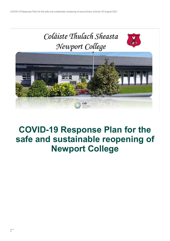

# **COVID-19 Response Plan for the safe and sustainable reopening of Newport College**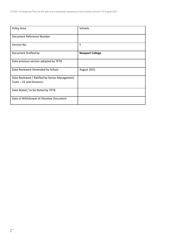| Policy Area                                   | Schools                |
|-----------------------------------------------|------------------------|
| Document Reference Number                     |                        |
| Version No.                                   | 5                      |
| Document Drafted by                           | <b>Newport College</b> |
| Date previous version adopted by TETB         |                        |
| Date Reviewed /Amended by School              | August 2021            |
| Date Reviewed / Ratified by Senior Management |                        |
| Team - CE and Directors                       |                        |
| Date Noted / to be Noted by TETB              |                        |
| Date of Withdrawal of Obsolete Document       |                        |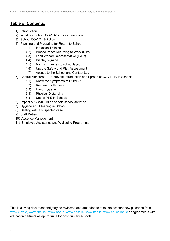### **Table of Contents:**

- 1) Introduction
- 2) What is a School COVID-19 Response Plan?
- 3) School COVID-19 Policy
- 4) Planning and Preparing for Return to School
	- 4.1) Induction Training
	- 4.2) Procedure for Returning to Work (RTW)
	- 4.3) Lead Worker Representative (LWR)
	- 4.4) Display signage
	- 4.5) Making changes to school layout
	- 4.6) Update Safety and Risk Assessment
	- 4.7) Access to the School and Contact Log
- 5) Control Measures To prevent Introduction and Spread of COVID-19 in Schools
	- 5.1) Know the Symptoms of COVID-19
	- 5.2) Respiratory Hygiene
	- 5.3) Hand Hygiene
	- 5.4) Physical Distancing
	- 5.5) Use of PPE in Schools
- 6) Impact of COVID-19 on certain school activities
- 7) Hygiene and Cleaning in School
- 8) Dealing with a suspected case
- 9) Staff Duties
- 10) Absence Management
- 11) Employee Assistance and Wellbeing Programme

This is a living document and may be reviewed and amended to take into account new guidance from [www.Gov.ie,](http://www.gov.ie/) www.dbei.ie, [www.hse.ie,](http://www.hse.ie/) [www.hpsc.ie,](http://www.hpsc.ie/) [www.hsa.ie;](http://www.hsa.ie/) [www.education.ie](http://www.education.ie/) or agreements with education partners as appropriate for post primary schools.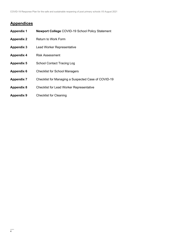### **Appendices**

| <b>Appendix 1</b> | <b>Newport College COVID-19 School Policy Statement</b> |
|-------------------|---------------------------------------------------------|
| <b>Appendix 2</b> | Return to Work Form                                     |
| <b>Appendix 3</b> | <b>Lead Worker Representative</b>                       |
| <b>Appendix 4</b> | <b>Risk Assessment</b>                                  |
| <b>Appendix 5</b> | <b>School Contact Tracing Log</b>                       |
| <b>Appendix 6</b> | <b>Checklist for School Managers</b>                    |
| <b>Appendix 7</b> | Checklist for Managing a Suspected Case of COVID-19     |
| <b>Appendix 8</b> | <b>Checklist for Lead Worker Representative</b>         |
| <b>Appendix 9</b> | <b>Checklist for Cleaning</b>                           |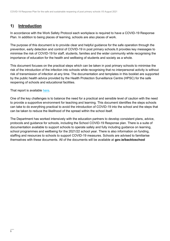### **1) Introduction**

In accordance with the Work Safety Protocol each workplace is required to have a COVID-19 Response Plan. In addition to being places of learning, schools are also places of work.

The purpose of this document is to provide clear and helpful guidance for the safe operation through the prevention, early detection and control of COVID-19 in post primary schools.It provides key messages to minimise the risk of COVID-19 for staff, students, families and the wider community while recognising the importance of education for the health and wellbeing of students and society as a whole.

This document focuses on the practical steps which can be taken in post primary schools to minimise the risk of the introduction of the infection into schools while recognising that no interpersonal activity is without risk of transmission of infection at any time. The documentation and templates in this booklet are supported by the public health advice provided by the Health Protection Surveillance Centre (HPSC) for the safe reopening of schools and educational facilities.

That report is available [here.](https://assets.gov.ie/82096/38b543b3-3245-4227-8f6a-7a167e684adb.pdf)

One of the key challenges is to balance the need for a practical and sensible level of caution with the need to provide a supportive environment for teaching and learning. This document identifies the steps schools can take to do everything practical to avoid the introduction of COVID-19 into the school and the steps that can be taken to reduce the likelihood of the spread within the school itself.

The Department has worked intensively with the education partners to develop consistent plans, advice, protocols and guidance for schools, including the School COVID-19 Response plan. There is a suite of documentation available to support schools to operate safely and fully including guidance on learning, school programmes and wellbeing for the 2021/22 school year. There is also information on funding, staffing and resources to schools to support COVID-19 measures. Schools are advised to familiarise themselves with these documents. All of the documents will be available at **gov.ie/backtoschool**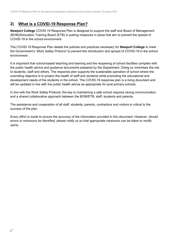### **2) What is a COVID-19 Response Plan?**

**Newport College** COVID-19 Response Plan is designed to support the staff and Board of Management (BOM)/Education Training Board (ETB) in putting measures in place that aim to prevent the spread of COVID-19 in the school environment

The COVID-19 Response Plan details the policies and practices necessary for **Newport College** to meet the Government's '*Work Safely Protocol'* to prevent the introduction and spread of COVID-19 in the school environment.

It is important that school-based teaching and learning and the reopening of school facilities complies with the public health advice and guidance documents prepared by the Department. Doing so minimises the risk to students, staff and others. The response plan supports the sustainable operation of school where the overriding objective is to protect the health of staff and students while promoting the educational and development needs of the students in the school. The COVID-19 response plan is a living document and will be updated in line with the public health advice as appropriate for post primary schools.

In line with the Work Safely Protocol, the key to maintaining a safe school requires strong communication and a shared collaborative approach between the BOM/ETB, staff, students and parents.

The assistance and cooperation of all staff, students, parents, contractors and visitors is critical to the success of the plan.

*Every effort is made to ensure the accuracy of the information provided in this document. However, should errors or omissions be identified, please notify us so that appropriate measures can be taken to rectify same.*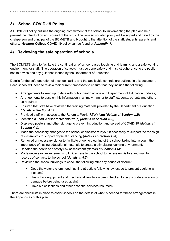### **3) School COVID-19 Policy**

A COVID-19 policy outlines the ongoing commitment of the school to implementing the plan and help prevent the introduction and spread of the virus. The revised updated policy will be signed and dated by the chairperson and principal of the BOM/ETB and brought to the attention of the staff, students, parents and others. **Newport College** COVID-19 policy can be found at *Appendix 1.*

### **4) Reviewing the safe operation of schools**

The BOM/ETB aims to facilitate the continuation of school-based teaching and learning and a safe working environment for staff. The operation of schools must be done safely and in strict adherence to the public health advice and any guidance issued by the Department of Education.

Details for the safe operation of a school facility and the applicable controls are outlined in this document. Each school will need to review their current processes to ensure that they include the following:

- Arrangements to keep up to date with public health advice and Department of Education updates;
- Arrangements to pass on this information in a timely manner to staff, students, parents and others as required;
- Ensured that staff have reviewed the training materials provided by the Department of Education *(details at Section 4.1);*
- Provided staff with access to the Return to Work (RTW) form (*details at Section 4.2);*
- Identified a Lead Worker representative(s) *(details at Section 4.3);*
- Displayed posters and other signage to prevent introduction and spread of COVID-19 *(details at Section 4.4);*
- Made the necessary changes to the school or classroom layout if necessary to support the redesign of classrooms to support physical distancing *(details at Section 4.5);*
- Removed unnecessary clutter to facilitate ongoing cleaning of the school taking into account the importance of having educational materials to create a stimulating learning environment;
- Updated the health and safety risk assessment *(details at Section 4.6);*
- Made necessary arrangements to limit access to the school to necessary visitors and maintain records of contacts to the school *(details at 4.7)*;
- Reviewed the school buildings to check the following after any period of closure:
	- Does the water system need flushing at outlets following low usage to prevent Legionella disease?
	- Has school equipment and mechanical ventilation been checked for signs of deterioration or damage before being used again?
	- Have bin collections and other essential services resumed?

There are checklists in place to assist schools on the details of what is needed for these arrangements in the Appendices of this plan.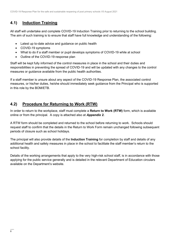### **4.1) Induction Training**

All staff will undertake and complete COVID-19 Induction Training prior to returning to the school building. The aim of such training is to ensure that staff have full knowledge and understanding of the following:

- Latest up to-date advice and guidance on public health
- COVID-19 symptoms
- What to do if a staff member or pupil develops symptoms of COVID-19 while at school
- Outline of the COVID-19 response plan

Staff will be kept fully informed of the control measures in place in the school and their duties and responsibilities in preventing the spread of COVID-19 and will be updated with any changes to the control measures or guidance available from the public health authorities.

If a staff member is unsure about any aspect of the COVID-19 Response Plan, the associated control measures, or his/her duties, he/she should immediately seek guidance from the Principal who is supported in this role by the BOM/ETB.

### **4.2) Procedure for Returning to Work (RTW)**

In order to return to the workplace, staff must complete a **Return to Work (RTW)** form, which is available online or from the principal. A copy is attached also at *Appendix 2.*

A RTW form should be completed and returned to the school before returning to work. Schools should request staff to confirm that the details in the Return to Work Form remain unchanged following subsequent periods of closure such as school holidays.

The principal will also provide details of the **Induction Training** for completion by staff and details of any additional health and safety measures in place in the school to facilitate the staff member's return to the school facility.

Details of the working arrangements that apply to the very high-risk school staff, is in accordance with those applying for the public service generally and is detailed in the relevant Department of Education circulars available on the Department's website.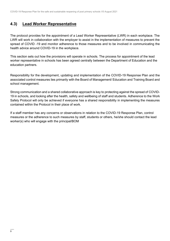### **4.3) Lead Worker Representative**

The protocol provides for the appointment of a Lead Worker Representative (LWR) in each workplace. The LWR will work in collaboration with the employer to assist in the implementation of measures to prevent the spread of COVID -19 and monitor adherence to those measures and to be involved in communicating the health advice around COVID-19 in the workplace.

This section sets out how the provisions will operate in schools. The process for appointment of the lead worker representative in schools has been agreed centrally between the Department of Education and the education partners.

Responsibility for the development, updating and implementation of the COVID-19 Response Plan and the associated control measures lies primarily with the Board of Management/ Education and Training Board and school management.

Strong communication and a shared collaborative approach is key to protecting against the spread of COVID-19 in schools, and looking after the health, safety and wellbeing of staff and students. Adherence to the Work Safely Protocol will only be achieved if everyone has a shared responsibility in implementing the measures contained within the Protocol in their place of work.

If a staff member has any concerns or observations in relation to the COVID-19 Response Plan, control measures or the adherence to such measures by staff, students or others, he/she should contact the lead worker(s) who will engage with the principal/BOM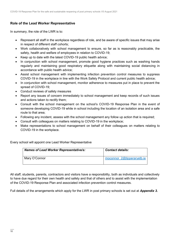#### **Role of the Lead Worker Representative**

In summary, the role of the LWR is to:

- Represent all staff in the workplace regardless of role, and be aware of specific issues that may arise in respect of different staff cohorts;
- Work collaboratively with school management to ensure, so far as is reasonably practicable, the safety, health and welfare of employees in relation to COVID-19;
- Keep up to date with the latest COVID-19 public health advice;
- In conjunction with school management, promote good hygiene practices such as washing hands regularly and maintaining good respiratory etiquette along with maintaining social distancing in accordance with public health advice;
- Assist school management with implementing infection prevention control measures to suppress COVID-19 in the workplace in line with the Work Safely Protocol and current public health advice;
- In conjunction with school management, monitor adherence to measures put in place to prevent the spread of COVID-19;
- Conduct reviews of safety measures
- Report any issues of concern immediately to school management and keep records of such issues and actions taken to rectify them;
- Consult with the school management on the school's COVID-19 Response Plan in the event of someone developing COVID-19 while in school including the location of an isolation area and a safe route to that area;
- Following any incident, assess with the school management any follow up action that is required;
- Consult with colleagues on matters relating to COVID-19 in the workplace;
- Make representations to school management on behalf of their colleagues on matters relating to COVID-19 in the workplace.

Every school will appoint one Lead Worker Representative

| <b>Names of Lead Worker Representative/s:</b> | <b>Contact details:</b>    |
|-----------------------------------------------|----------------------------|
| Mary O'Connor                                 | moconnor 2@tipperaryetb.ie |

All staff, students, parents, contractors and visitors have a responsibility, both as individuals and collectively to have due regard for their own health and safety and that of others and to assist with the implementation of the COVID-19 Response Plan and associated infection prevention control measures.

Full details of the arrangements which apply for the LWR in post primary schools is set out at *Appendix 3***.**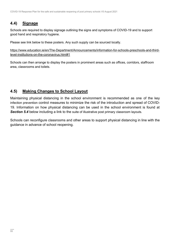### **4.4) Signage**

Schools are required to display signage outlining the signs and symptoms of COVID-19 and to support good hand and respiratory hygiene.

Please see link below to these posters. Any such supply can be sourced locally.

[https://www.education.ie/en/The-Department/Announcements/information-for-schools-preschools-and-third](https://www.education.ie/en/The-Department/Announcements/information-for-schools-preschools-and-third-level-institutions-on-the-coronavirus.html#1)[level-institutions-on-the-coronavirus.html#1](https://www.education.ie/en/The-Department/Announcements/information-for-schools-preschools-and-third-level-institutions-on-the-coronavirus.html#1) 

Schools can then arrange to display the posters in prominent areas such as offices, corridors, staffroom area, classrooms and toilets.

### **4.5) Making Changes to School Layout**

Maintaining physical distancing in the school environment is recommended as one of the key infection prevention control measures to minimize the risk of the introduction and spread of COVID-19. Information on how physical distancing can be used in the school environment is found at **Section 5.4** below including a link to the suite of illustrative post primary classroom layouts.

Schools can reconfigure classrooms and other areas to support physical distancing in line with the guidance in advance of school reopening.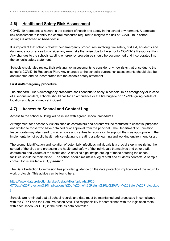### **4.6) Health and Safety Risk Assessment**

COVID-19 represents a hazard in the context of health and safety in the school environment. A template risk assessment to identify the control measures required to mitigate the risk of COVID-19 in school settings is attached at *Appendix 4.*

It is important that schools review their emergency procedures involving, fire safety, first aid, accidents and dangerous occurrences to consider any new risks that arise due to the school's COVID-19 Response Plan. Any changes to the schools existing emergency procedures should be documented and incorporated into the school's safety statement.

Schools should also review their existing risk assessments to consider any new risks that arise due to the school's COVID-19 Response Plan. Any changes to the school's current risk assessments should also be documented and be incorporated into the schools safety statement.

#### **First Aid/emergency procedure**

The standard First Aid/emergency procedure shall continue to apply in schools. In an emergency or in case of a serious incident, schools should call for an ambulance or the fire brigade on 112/999 giving details of location and type of medical incident.

### **4.7) Access to School and Contact Log**

Access to the school building will be in line with agreed school procedures.

Arrangement for necessary visitors such as contractors and parents will be restricted to essential purposes and limited to those who have obtained prior approval from the principal. The Department of Education Inspectorate may also need to visit schools and centres for education to support them as appropriate in the implementation of public health advice relating to creating a safe learning and working environment for all.

The prompt identification and isolation of potentially infectious individuals is a crucial step in restricting the spread of the virus and protecting the health and safety of the individuals themselves and other staff, contractors and visitors at the workplace. A detailed sign in/sign out log of those entering the school facilities should be maintained. The school should maintain a log of staff and students contacts. A sample contact log is available at *Appendix 5***.** 

The Data Protection Commission has provided guidance on the data protection implications of the return to work protocols. This advice can be found here:

[https://www.dataprotection.ie/sites/default/files/uploads/2020-](https://www.dataprotection.ie/sites/default/files/uploads/2020-07/Data%20Protection%20implications%20of%20the%20Return%20to%20Work%20Safely%20Protocol.pdf) [07/Data%20Protection%20implications%20of%20the%20Return%20to%20Work%20Safely%20Protocol.pd](https://www.dataprotection.ie/sites/default/files/uploads/2020-07/Data%20Protection%20implications%20of%20the%20Return%20to%20Work%20Safely%20Protocol.pdf) [f](https://www.dataprotection.ie/sites/default/files/uploads/2020-07/Data%20Protection%20implications%20of%20the%20Return%20to%20Work%20Safely%20Protocol.pdf) 

Schools are reminded that all school records and data must be maintained and processed in compliance with the GDPR and the Data Protection Acts. The responsibility for compliance with the legislation rests with each school (or ETB) in their role as data controller.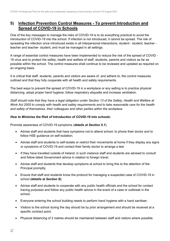### **5) Infection Prevention Control Measures - To prevent Introduction and Spread of COVID-19 in Schools**

One of the key messages to manage the risks of COVID-19 is to do everything practical to avoid the introduction of COVID-19 into the school. If infection is not introduced, it cannot be spread. The risk of spreading the infection once introduced exists in all interpersonal interactions; student - student, teacher teacher and teacher- student, and must be managed in all settings.

A range of essential control measures have been implemented to reduce the risk of the spread of COVID - 19 virus and to protect the safety, health and welfare of staff, students, parents and visitors as far as possible within the school. The control measures shall continue to be reviewed and updated as required on an ongoing basis.

It is critical that staff, students, parents and visitors are aware of, and adhere to, the control measures outlined and that they fully cooperate with all health and safety requirements.

The best ways to prevent the spread of COVID-19 in a workplace or any setting is to practice physical distancing, adopt proper hand hygiene, follow respiratory etiquette and increase ventilation.

*Staff should note that they have a legal obligation under Section 13 of the Safety, Health and Welfare at Work Act 2005 to comply with health and safety requirements and to take reasonable care for the health and safety of themselves, their colleagues and other parties within the workplace.* 

#### *How to Minimise the Risk of Introduction of COVID-19 into schools:*

Promote awareness of COVID-19 symptoms (*details at Section 5.1*);

- Advise staff and students that have symptoms not to attend school, to phone their doctor and to follow HSE guidance on self-isolation;
- Advise staff and students to self-isolate or restrict their movements at home if they display any signs or symptoms of COVID-19 and contact their family doctor to arrange a test
- If they have travelled outside of Ireland; in such instance staff and students are advised to consult and follow latest Government advice in relation to foreign travel.
- Advise staff and students that develop symptoms at school to bring this to the attention of the Principal promptly;
- Ensure that staff and students know the protocol for managing a suspected case of COVID-19 in school *(details at Section 8);*
- Advise staff and students to cooperate with any public health officials and the school for contact tracing purposes and follow any public health advice in the event of a case or outbreak in the school;
- Everyone entering the school building needs to perform hand hygiene with a hand sanitiser;
- Visitors to the school during the day should be by prior arrangement and should be received at a specific contract point;
- Physical distancing of 2 metres should be maintained between staff and visitors where possible.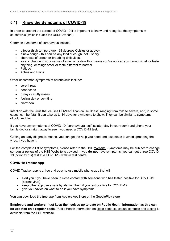### **5.1) Know the Symptoms of COVID-19**

In order to prevent the spread of COVID-19 it is important to know and recognise the symptoms of coronavirus (which includes the DELTA variant).

Common symptoms of coronavirus include:

- a fever (high temperature 38 degrees Celsius or above).
- a new cough this can be any kind of cough, not just dry.
- shortness of breath or breathing difficulties.
- loss or change in your sense of smell or taste this means you've noticed you cannot smell or taste anything, or things smell or taste different to normal
- Fatigue
- Aches and Pains

Other uncommon symptoms of coronavirus include:

- sore throat
- headaches
- runny or stuffy noses
- feeling sick or vomiting
- diarrhoea

Infection with the virus that causes COVID-19 can cause illness, ranging from mild to severe, and, in some cases, can be fatal. It can take up to 14 days for symptoms to show. They can be similar to symptoms of [cold](https://www2.hse.ie/conditions/common-cold.html) and [flu.](https://www2.hse.ie/conditions/flu/flu-symptoms-and-diagnosis.html)

If you have any symptoms of COVID-19 (coronavirus), [self-isolate](https://www2.hse.ie/conditions/coronavirus/self-isolation/how-to-self-isolate.html) (stay in your room) and phone your family doctor straight away to see if you need [a COVID-19 test.](https://www2.hse.ie/conditions/coronavirus/testing/how-to-get-tested.html)

Getting an early diagnosis means, you can get the help you need and take steps to avoid spreading the virus, if you have it.

For the complete list of symptoms, please refer to the HSE [Website.](https://www2.hse.ie/conditions/coronavirus/symptoms.html) Symptoms may be subject to change so regular review of the HSE Website is advised. If you **do not** have symptoms, you can get a free COVID-19 (coronavirus) test at a [COVID-19 walk-in test centre.](https://www2.hse.ie/conditions/coronavirus/testing/covid-19-walk-in-test-centres.html)

#### **COVID-19 Tracker App**

COVID Tracker app is a free and easy-to-use mobile phone app that will:

- alert you if you have been in [close contact](https://www2.hse.ie/conditions/coronavirus/close-contact-and-casual-contact.html) with someone who has tested positive for COVID-19 (coronavirus)
- keep other app users safe by alerting them if you test positive for COVID-19
- give you advice on what to do if you have symptoms

You can download the free app from [Apple's AppStore](https://apps.apple.com/ie/app/covid-tracker-ireland/id1505596721) or the [GooglePlay store](https://play.google.com/store/apps/details?id=com.covidtracker.hse) 

**Employers and workers must keep themselves up to date on Public Health information as this can be updated on a regular basis.** Public Health information on [close contacts, casual contacts and testing](https://www2.hse.ie/conditions/coronavirus/close-contact-and-casual-contact.html) is available from the HSE website.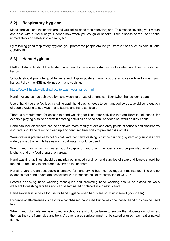### **5.2) Respiratory Hygiene**

Make sure you, and the people around you, follow good respiratory hygiene. This means covering your mouth and nose with a tissue or your bent elbow when you cough or sneeze. Then dispose of the used tissue immediately and safely into a nearby bin.

By following good respiratory hygiene, you protect the people around you from viruses such as cold, flu and COVID-19.

### **5.3) Hand Hygiene**

Staff and students should understand why hand hygiene is important as well as when and how to wash their hands.

Schools should promote good hygiene and display posters throughout the schools on how to wash your hands. Follow the HSE guidelines on handwashing:

<https://www2.hse.ie/wellbeing/how-to-wash-your-hands.html>

Hand hygiene can be achieved by hand washing or use of a hand sanitiser (when hands look clean).

Use of hand hygiene facilities including wash hand basins needs to be managed so as to avoid congregation of people waiting to use wash hand basins and hand sanitisers.

There is a requirement for access to hand washing facilities after activities that are likely to soil hands, for example playing outside or certain sporting activities as hand sanitiser does not work on dirty hands.

Hand sanitiser dispensers can be deployed more readily at exit and entry points of schools and classrooms and care should be taken to clean up any hand sanitizer spills to prevent risks of falls.

Warm water is preferable to hot or cold water for hand washing but if the plumbing system only supplies cold water, a soap that emulsifies easily in cold water should be used.

Wash hand basins, running water, liquid soap and hand drying facilities should be provided in all toilets, kitchens and any food preparation areas.

Hand washing facilities should be maintained in good condition and supplies of soap and towels should be topped up regularly to encourage everyone to use them.

Hot air dryers are an acceptable alternative for hand drying but must be regularly maintained. There is no evidence that hand dryers are associated with increased risk of transmission of COVID-19.

Posters displaying hand washing techniques and promoting hand washing should be placed on walls adjacent to washing facilities and can be laminated or placed in a plastic sleeve.

Hand sanitiser is suitable for use for hand hygiene when hands are not visibly soiled (look clean).

Evidence of effectiveness is best for alcohol-based hand rubs but non-alcohol based hand rubs can be used too.

When hand rubs/gels are being used in school care should be taken to ensure that students do not ingest them as they are flammable and toxic. Alcohol-based sanitiser must not be stored or used near heat or naked flame.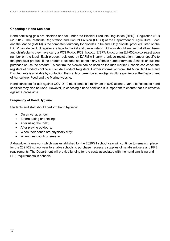#### **Choosing a Hand Sanitiser**

Hand sanitising gels are biocides and fall under the Biocidal Products Regulation (BPR) –Regulation (EU) 528/2012. The Pesticide Registration and Control Division (PRCD) of the Department of Agriculture, Food and the Marine (DAFM) is the competent authority for biocides in Ireland. Only biocidal products listed on the DAFM biocide product register are legal to market and use in Ireland. Schools should ensure that all sanitisers and disinfectants they have carry a PCS 9xxxx, PCS 1xxxxx, IE/BPA 7xxxx or an EU-000xxx-xx registration number on the label. Each product registered by DAFM will carry a unique registration number specific to that particular product. If the product label does not contain any of these number formats, Schools should not purchase or use the product. To confirm the biocide can be used on the Irish market, Schools can check the registers of products online at [Biocidal Product Registers.](https://www.pcs.agriculture.gov.ie/registers/biocidalproductregisters/) Further information from DAFM on Sanitisers and Disinfectants is available by contacting them at [biocide-enforcement@agriculture.gov.ie](mailto:biocide-enforcement@agriculture.gov.ie) or at the Department [of Agriculture, Food and the Marine](https://www.agriculture.gov.ie/customerservice/coronaviruscovid-19/handsanitisersanddisinfectants/) website.

Hand sanitisers for use against COVID-19 must contain a minimum of 60% alcohol. Non-alcohol based hand sanitiser may also be used. However, in choosing a hand sanitiser, it is important to ensure that it is effective against Coronavirus.

#### **Frequency of Hand Hygiene**

Students and staff should perform hand hygiene:

- On arrival at school;
- Before eating or drinking;
- After using the toilet;
- After playing outdoors;
- When their hands are physically dirty;
- When they cough or sneeze.

A drawdown framework which was established for the 2020/21 school year will continue to remain in place for the 2021/22 school year to enable schools to purchase necessary supplies of hand-sanitisers and PPE requirements. The Department will provide funding for the costs associated with the hand sanitising and PPE requirements in schools.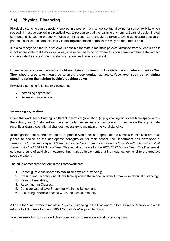### **5.4) Physical Distancing**

Physical distancing can be usefully applied in a post primary school setting allowing for some flexibility when needed. It must be applied in a practical way to recognise that the learning environment cannot be dominated by a potentially counterproductive focus on this issue. Care should be taken to avoid generating tension or potential conflict and some flexibility in the implementation of measures may be required at time.

It is also recognised that it is not always possible for staff to maintain physical distance from students and it is not appropriate that they would always be expected to do so where this could have a detrimental impact on the student i.e. if a student sustains an injury and requires first aid.

#### **However, where possible staff should maintain a minimum of 1 m distance and where possible 2m. They should also take measures to avoid close contact at face-to-face level such as remaining standing rather than sitting beside/crouching down**.

Physical distancing falls into two categories:

- Increasing separation
- Decreasing interaction

#### *Increasing separation*

Given that each school setting is different in terms of (i) location; (ii) physical layout (iii) available space within the school; and (iv) student numbers; schools themselves are best placed to decide on the appropriate reconfigurations / operational changes necessary to maintain physical distancing.

In recognition that a 'one size fits all' approach would not be appropriate as schools themselves are best placed to decide on the appropriate configuration for their school, the Department has developed a *Framework to maintain Physical Distancing in the Classroom in Post Primary Schools with a full return of all Students for the 2020/21 School Year.* This remains in place for the 2021/ 2022 School Year.The Framework sets out a suite of available measures that must be implemented at individual school level to the greatest possible extent.

The suite of measures set out in the Framework are:

- 1. Reconfigure class spaces to maximise physical distancing;
- 2. Utilising and reconfiguring all available space in the school in order to maximise physical distancing;
- 3. Review Timetables;
- 4. Reconfiguring Classes;
- 5. Consider Use of Live Streaming within the School; and
- 6. Accessing available spaces within the local community

A link to the "Framework to maintain Physical Distancing in the Classroom in Post Primary Schools with a full return of all Students for the 2020/21 School Year" is provided [here.](https://assets.gov.ie/83472/ca0e3029-2d43-4e77-8181-bc3dc89455d2.pdf)

You can see a link to illustrated classroom layouts to maintain social distancing here.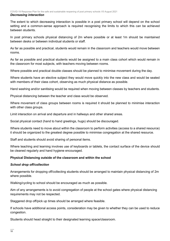The extent to which decreasing interaction is possible in a post primary school will depend on the school setting and a common-sense approach is required recognising the limits to which this can be achieved between students.

In post primary schools physical distancing of 2m where possible or at least 1m should be maintained between desks or between individual students or staff.

As far as possible and practical, students would remain in the classroom and teachers would move between rooms.

As far as possible and practical students would be assigned to a main class cohort which would remain in the classroom for most subjects, with teachers moving between rooms.

Where possible and practical double classes should be planned to minimise movement during the day.

Where students have an elective subject they would move quickly into the new class and would be seated with members of their class cohort, observing as much physical distance as possible.

Hand washing and/or sanitising would be required when moving between classes by teachers and students.

Physical distancing between the teacher and class would be observed.

Where movement of class groups between rooms is required it should be planned to minimise interaction with other class groups.

Limit interaction on arrival and departure and in hallways and other shared areas.

Social physical contact (hand to hand greetings, hugs) should be discouraged.

Where students need to move about within the classroom to perform activities (access to a shared resource) it should be organized to the greatest degree possible to minimise congregation at the shared resource.

Staff and students should avoid sharing of personal items.

Where teaching and learning involves use of keyboards or tablets, the contact surface of the device should be cleaned regularly and hand hygiene encouraged.

#### **Physical Distancing outside of the classroom and within the school**

#### *School drop off/collection*

Arrangements for dropping off/collecting students should be arranged to maintain physical distancing of 2m where possible.

Walking/cycling to school should be encouraged as much as possible.

Aim of any arrangements is to avoid congregation of people at the school gates where physical distancing requirements may not be respected.

Staggered drop off/pick up times should be arranged where feasible.

If schools have additional access points, consideration may be given to whether they can be used to reduce congestion.

Students should head straight to their designated learning space/classroom.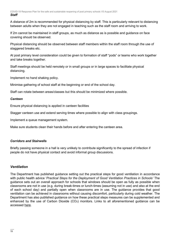A distance of 2m is recommended for physical distancing by staff. This is particularly relevant to distancing between adults when they are not engaged in teaching such as the staff room and arriving to work.

If 2m cannot be maintained in staff groups, as much as distance as is possible and guidance on face covering should be observed.

Physical distancing should be observed between staff members within the staff room through the use of staggered breaks etc.

At post primary level consideration could be given to formation of staff "pods" or teams who work together and take breaks together.

Staff meetings should be held remotely or in small groups or in large spaces to facilitate physical distancing.

Implement no hand shaking policy.

Minimise gathering of school staff at the beginning or end of the school day.

Staff can rotate between areas/classes but this should be minimized where possible.

#### *Canteen*

Ensure physical distancing is applied in canteen facilities

Stagger canteen use and extend serving times where possible to align with class groupings.

Implement a queue management system.

Make sure students clean their hands before and after entering the canteen area.

#### *Corridors and Stairwells*

Briefly passing someone in a hall is very unlikely to contribute significantly to the spread of infection if people do not have physical contact and avoid informal group discussions.

#### *Ventilation*

The Department has published guidance setting out the practical steps for good ventilation in accordance with public health advice '*Practical Steps for the Deployment of Good Ventilation Practices in Schools'* The guidance sets out an overall approach for schools that windows should be open as fully as possible when classrooms are not in use (e.g. during break-times or lunch-times (assuming not in use) and also at the end of each school day) and partially open when classrooms are in use. The guidance provides that good ventilation can be achieved in classrooms without causing discomfort, particularly during cold weather. The Department has also published guidance on how these practical steps measures can be supplemented and enhanced by the use of Carbon Dioxide (CO<sub>2</sub>) monitors. Links to all aforementioned guidance can be accessed [here.](https://www.gov.ie/en/publication/ad236-guidance-on-ventilation-in-schools/)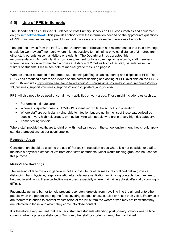### **5.5) Use of PPE in Schools**

The Department has published "Guidance to Post Primary Schools on PPE consumables and equipment" on **[gov.ie/backtoschool.](http://www.gov.ie/backtoschool)** This provides schools with the information needed on the appropriate quantities of PPE consumables and equipment to support the safe and sustainable operations of schools.

The updated advice from the HPSC to the Department of Education has recommended that face coverings should be worn by staff members where it is not possible to maintain a physical distance of 2 metres from other staff, parents, essential visitors or students. The Department has accepted this recommendation. Accordingly, it is now a requirement for face coverings to be worn by staff members where it is not possible to maintain a physical distance of 2 metres from other staff, parents, essential visitors or students. Please see note re medical grade masks on page 20.

Workers should be trained in the proper use, donning/doffing, cleaning, storing and disposal of PPE. The HPSC has produced posters and videos on the correct donning and doffing of PPE available on the HPSC and HSA websites [https://www.hsa.ie/eng/topics/covid-19\\_coronavirus\\_information\\_and\\_resources/covid-](https://www.hsa.ie/eng/topics/covid-19_coronavirus_information_and_resources/covid-19_business_supports/business_supports/hse-hpsc_posters_and_videos/)19 business supports/business supports/hse-hpsc posters and videos/

PPE will also need to be used at certain work activities or work areas. These might include roles such as:

- Performing intimate care
- Where a suspected case of COVID-19 is identified while the school is in operation
- Where staff are particularly vulnerable to infection but are not in the list of those categorised as people in very high risk groups, or may be living with people who are in a very high risk category;
- Administering first aid

Where staff provide healthcare to children with medical needs in the school environment they should apply standard precautions as per usual practice.

#### **Reception Areas**

Consideration should be given to the use of Perspex in reception areas where it is not possible for staff to maintain a physical distance of 2m from other staff or students. Minor works funding grant can be used for this purpose.

#### **Masks/Face Coverings**

The wearing of face masks in general is not a substitute for other measures outlined below (physical distancing, hand hygiene, respiratory etiquette, adequate ventilation, minimising contacts) but they are to be used in addition to these protective measures, especially where maintaining physical/social distancing is difficult.

Facemasks act as a barrier to help prevent respiratory droplets from travelling into the air and onto other people when the person wearing the face covering coughs, sneezes, talks or raises their voice. Facemasks are therefore intended to prevent transmission of the virus from the wearer (who may not know that they are infected) to those with whom they come into close contact.

It is therefore a requirement that teachers, staff and students attending post primary schools wear a face covering when a physical distance of 2m from other staff or students cannot be maintained.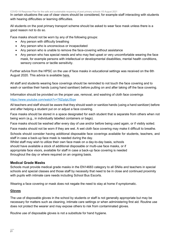In certain situations the use of clear visors should be considered, for example staff interacting with students with hearing difficulties or learning difficulties.

All students on the post primary transport scheme should be asked to wear face mask unless there is a good reason not to do so.

Face masks should not be worn by any of the following groups:

- Any person with difficulty breathing
- Any person who is unconscious or incapacitated
- Any person who is unable to remove the face-covering without assistance
- Any person who has special needs and who may feel upset or very uncomfortable wearing the face mask, for example persons with intellectual or developmental disabilities, mental health conditions, sensory concerns or tactile sensitivity.

Further advice from the HPSC on the use of face masks in educational settings was received on the 6th August 2020. This advice is available [here.](https://assets.gov.ie/83506/86fba2a7-26da-4c19-bce3-b0d01aaaf59b.pdf)

All staff and students wearing face coverings should be reminded to not touch the face covering and to wash or sanitise their hands (using hand sanitiser) before putting on and after taking off the face covering.

Information should be provided on the proper use, removal, and washing of cloth face coverings

#### <https://www.youtube.com/watch?v=T6ZqdpLfSqw>

All teachers and staff should be aware that they should wash or sanitize hands (using a hand sanitizer) before and after helping a student put on or adjust a face covering.

Face masks should be stored in a space designated for each student that is separate from others when not being worn (e.g., in individually labelled containers or bags).

Face masks should be washed after every day of use and/or before being used again, or if visibly soiled.

Face masks should not be worn if they are wet. A wet cloth face covering may make it difficult to breathe.

Schools should consider having additional disposable face coverings available for students, teachers, and staff in case a back-up face mask is needed during the day.

Whilst staff may wish to utilize their own face mask on a day-to-day basis, schools should have available a stock of additional disposable or multi-use face masks, or if appropriate face visors, available for staff in case a back-up face covering is needed throughout the day or where required on an ongoing basis.

#### **Medical Grade Masks**

Schools must provide medical grade masks in the EN14683 category to all SNAs and teachers in special schools and special classes and those staff by necessity that need to be in close and continued proximity with pupils with intimate care needs including School Bus Escorts.

Wearing a face covering or mask does not negate the need to stay at home if symptomatic.

#### **Gloves**

The use of disposable gloves in the school by students or staff is not generally appropriate but may be necessary for matters such as cleaning, intimate care settings or when administering first aid. Routine use does not protect the wearer and may expose others to risk from contaminated gloves.

Routine use of disposable gloves is not a substitute for hand hygiene.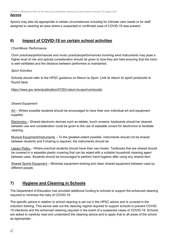Aprons may also be appropriate in certain circumstances including for intimate care needs or for staff assigned to cleaning an area where a suspected or confirmed case of COVID-19 was present.

### **6) Impact of COVID-19 on certain school activities**

#### *Choir/Music Performance*

Choir practices/performances and music practices/performances involving wind instruments may pose a higher level of risk and special consideration should be given to how they are held ensuring that the room is well-ventilated and the distance between performers is maintained.

#### *Sport Activities*

Schools should refer to the HPSC guidance on Return to Sport. Link to return to sport protocols is found here.

<https://www.gov.ie/en/publication/07253-return-to-sport-protocols/>

#### *Shared Equipment*

 $Art$  – Where possible students should be encouraged to have their own individual art and equipment supplies.

Electronics – Shared electronic devices such as tablets, touch screens, keyboards should be cleaned between use and consideration could be given to the use of wipeable covers for electronics to facilitate cleaning.

Musical Equipment/Instruments – To the greatest extent possible, instruments should not be shared between students and if sharing is required, the instruments should be

Library Policy – Where practical students should have their own books. Textbooks that are shared should be covered in a wipeable plastic covering that can be wiped with a suitable household cleaning agent between uses. Students should be encouraged to perform hand hygiene after using any shared item.

Shared Sports Equipment – Minimise equipment sharing and clean shared equipment between uses by different people.

### **7) Hygiene and Cleaning in Schools**

The Department of Education has provided additional funding to schools to support the enhanced cleaning required to minimise the risks of COVID-19.

The specific advice in relation to school cleaning is set out in the HPSC advice and is covered in the induction training. This advice sets out the cleaning regime required to support schools to prevent COVID-19 infections and the enhanced cleaning required in the event of a suspected cases of COVID-19. Schools are asked to carefully read and understand the cleaning advice and to apply that to all areas of the school as appropriate.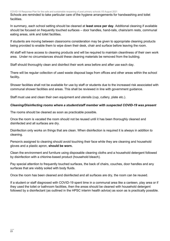Schools are reminded to take particular care of the hygiene arrangements for handwashing and toilet facilities.

In summary, each school setting should be cleaned at **least once per day**. Additional cleaning if available should be focused on frequently touched surfaces – door handles, hand-rails, chairs/arm rests, communal eating areas, sink and toilet facilities.

If students are moving between classrooms consideration may be given to appropriate cleaning products being provided to enable them to wipe down their desk, chair and surface before leaving the room.

All staff will have access to cleaning products and will be required to maintain cleanliness of their own work area. Under no circumstances should these cleaning materials be removed from the building.

Staff should thoroughly clean and disinfect their work area before and after use each day.

There will be regular collection of used waste disposal bags from offices and other areas within the school facility**.** 

Shower facilities shall not be available for use by staff or students due to the increased risk associated with communal shower facilities and areas. This shall be reviewed in line with government guidance.

Staff must use and clean their own equipment and utensils (cup, cutlery, plate etc.).

#### *Cleaning/Disinfecting rooms where a student/staff member with suspected COVID-19 was present*

The rooms should be cleaned as soon as practicable possible.

Once the room is vacated the room should not be reused until it has been thoroughly cleaned and disinfected and all surfaces are dry.

Disinfection only works on things that are clean. When disinfection is required it is always in addition to cleaning.

Person/s assigned to cleaning should avoid touching their face while they are cleaning and household gloves and a plastic apron, **should be worn.** 

Clean the environment and furniture using disposable cleaning cloths and a household detergent followed by disinfection with a chlorine-based product (household bleach).

Pay special attention to frequently touched surfaces, the back of chairs, couches, door handles and any surfaces that are visibly soiled with body fluids.

Once the room has been cleaned and disinfected and all surfaces are dry, the room can be reused.

If a student or staff diagnosed with COVID-19 spent time in a communal area like a canteen, play area or if they used the toilet or bathroom facilities, then the areas should be cleaned with household detergent followed by a disinfectant (as outlined in the HPSC interim health advice) as soon as is practically possible.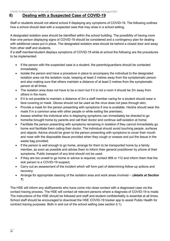#### **8) Dealing with a Suspected Case of COVID-19**

Staff or students should not attend school if displaying any symptoms of COVID-19. The following outlines how a school should deal with a suspected case that may arise in a school setting.

A designated isolation area should be identified within the school building. The possibility of having more than one person displaying signs of COVID-19 should be considered and a contingency plan for dealing with additional cases put in place. The designated isolation area should be behind a closed door and away from other staff and students.

If a staff member/student displays symptoms of COVID-19 while at school the following are the procedures to be implemented:

- If the person with the suspected case is a student, the parents/guardians should be contacted immediately;
- Isolate the person and have a procedure in place to accompany the individual to the designated isolation area via the isolation route, keeping at least 2 metres away from the symptomatic person and also making sure that others maintain a distance of at least 2 metres from the symptomatic person at all times;
- The isolation area does not have to be a room but if it is not a room it should be 2m away from others in the room;
- If it is not possible to maintain a distance of 2m a staff member caring for a student should wear a face covering or mask. Gloves should not be used as the virus does not pass through skin;
- Provide a mask for the person presenting with symptoms if one is available. He/she should wear the mask if in a common area with other people or while exiting the premises;
- Assess whether the individual who is displaying symptoms can immediately be directed to go home/be brought home by parents and call their doctor and continue self-isolation at home;
- Facilitate the person presenting with symptoms remaining in isolation if they cannot immediately go home and facilitate them calling their doctor. The individual should avoid touching people, surfaces and objects. Advice should be given to the person presenting with symptoms to cover their mouth and nose with the disposable tissue provided when they cough or sneeze and put the tissue in the waste bag provided;
- If the person is well enough to go home, arrange for them to be transported home by a family member, as soon as possible and advise them to inform their general practitioner by phone of their symptoms. Public transport of any kind should not be used;
- If they are too unwell to go home or advice is required, contact 999 or 112 and inform them that the sick person is a COVID-19 suspect;
- Carry out an assessment of the incident which will form part of determining follow-up actions and recovery;
- Arrange for appropriate cleaning of the isolation area and work areas involved (*details at Section 7*)

The HSE will inform any staff/parents who have come into close contact with a diagnosed case via the contact tracing process. The HSE will contact all relevant persons where a diagnosis of COVID-19 is made. The instructions of the HSE should be followed and staff and student confidentiality is essential at all times. School staff should be encouraged to download the HSE COVID-19 tracker app to assist Public Health for contract tracing purposes. Both in and out of the school setting (see section 5.1).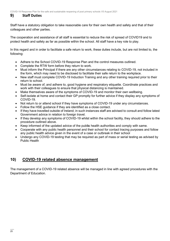### **9) Staff Duties**

Staff have a statutory obligation to take reasonable care for their own health and safety and that of their colleagues and other parties.

The cooperation and assistance of all staff is essential to reduce the risk of spread of COVID19 and to protect health and safety as far as possible within the school. All staff have a key role to play.

In this regard and in order to facilitate a safe return to work, these duties include, but are not limited to, the following:

- Adhere to the School COVID-19 Response Plan and the control measures outlined.
- Complete the RTW form before they return to work.
- Must inform the Principal if there are any other circumstances relating to COVID-19, not included in the form, which may need to be disclosed to facilitate their safe return to the workplace.
- New staff must complete COVID-19 Induction Training and any other training required prior to their return to school.
- Must be aware of, and adhere to, good hygiene and respiratory etiquette. Coordinate practices and work with their colleagues to ensure that physical distancing is maintained.
- Make themselves aware of the symptoms of COVID-19 and monitor their own wellbeing.
- Self-isolate at home and contact their GP promptly for further advice if they display any symptoms of COVID-19.
- Not return to or attend school if they have symptoms of COVID-19 under any circumstances.
- Follow the HSE guidance if they are identified as a close contact.
- If they have travelled outside of Ireland; in such instances staff are advised to consult and follow latest Government advice in relation to foreign travel.
- If they develop any symptoms of COVID-19 whilst within the school facility, they should adhere to the procedure outlined above.
- Keep informed of the updated advice of the publ**ic** health authorities and comply with same.
- Cooperate with any public health personnel and their school for contact tracing purposes and follow any public health advice given in the event of a case or outbreak in their school
- Undergo any COVID-19 testing that may be required as part of mass or serial testing as advised by Public Health

### **10) COVID-19 related absence management**

The management of a COVID-19 related absence will be managed in line with agreed procedures with the Department of Education.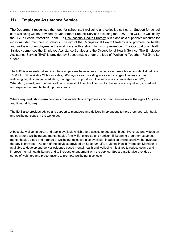### **11) Employee Assistance Service**

The Department recognises the need for school staff wellbeing and collective self-care. Support for school staff wellbeing will be provided by Department Support Services including the PDST and CSL, as well as by the HSE's Health Promotion Team. An [Occupational Health Strategy](https://www.education.ie/en/Education-Staff/Information/Occupational-Health-Strategy/) is in place as a supportive resource for individual staff members in schools. The aim of the Occupational Health Strategy is to promote the health and wellbeing of employees in the workplace, with a strong focus on prevention. The Occupational Health Strategy comprises the Employee Assistance Service and the Occupational Health Service. The Employee Assistance Service (EAS) is provided by Spectrum.Life under the logo of 'Wellbeing Together: Folláinne Le Chéile'.

The EAS is a self-referral service where employees have access to a dedicated free-phone confidential helpline 1800 411 057 available 24 hours a day, 365 days a year providing advice on a range of issues such as wellbeing, legal, financial, mediation, management support etc. The service is also available via SMS, WhatsApp, e-mail, live chat and call back request. All points of contact for the service are qualified, accredited and experienced mental health professionals.

Where required, short-term counselling is available to employees and their families (over the age of 18 years and living at home).

The EAS also provides advice and support to managers and delivers interventions to help them deal with health and wellbeing issues in the workplace.

A bespoke wellbeing portal and app is available which offers access to podcasts, blogs, live chats and videos on topics around wellbeing and mental health, family life, exercise and nutrition. E-Learning programmes across mental health, sleep and a range of wellbeing topics are also available. In addition online cognitive behavioural therapy is provided. As part of the services provided by Spectrum.Life, a Mental Health Promotion Manager is available to develop and deliver evidence based mental health and wellbeing initiatives to reduce stigma and improve mental health literacy and to increase engagement with the service. Spectrum.Life also provides a series of webinars and presentations to promote wellbeing in schools.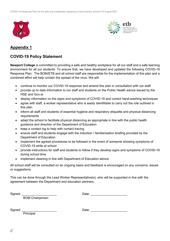



### **Appendix 1**

### **COVID-19 Policy Statement**

**Newport College** is committed to providing a safe and healthy workplace for all our staff and a safe learning environment for all our students. To ensure that, we have developed and updated the following COVID-19 Response Plan. The BOM/ETB and all school staff are responsible for the implementation of this plan and a combined effort will help contain the spread of the virus. We will:

- continue to monitor our COVID-19 response and amend this plan in consultation with our staff
- provide up to date information to our staff and students on the Public Health advice issued by the HSE and Gov.ie
- display information on the signs and symptoms of COVID-19 and correct hand-washing techniques
- agree with staff, a worker representative who is easily identifiable to carry out the role outlined in this plan
- inform all staff and students of essential hygiene and respiratory etiquette and physical distancing requirements
- adapt the school to facilitate physical distancing as appropriate in line with the public health guidance and direction of the Department of Education
- keep a contact log to help with contact tracing
- ensure staff and students engage with the induction / familiarisation briefing provided by the Department of Education
- implement the agreed procedures to be followed in the event of someone showing symptoms of COVID-19 while at school
- provide instructions for staff and students to follow if they develop signs and symptoms of COVID-19 during school time
- implement cleaning in line with Department of Education advice

All school staff will be consulted on an ongoing basis and feedback is encouraged on any concerns, issues or suggestions.

This can be done through the Lead Worker Representative(s), who will be supported in line with the agreement between the Department and education partners.

Signed: \_\_\_\_\_\_\_\_\_\_\_\_\_\_\_\_\_\_\_\_ Date: \_\_\_\_\_\_\_\_\_\_\_\_\_\_\_\_\_\_\_\_\_

BOM Chairperson

Signed: \_\_\_\_\_\_\_\_\_\_\_\_\_\_\_\_\_\_\_\_ Date: \_\_\_\_\_\_\_\_\_\_\_\_\_\_\_\_\_\_\_\_\_

Principal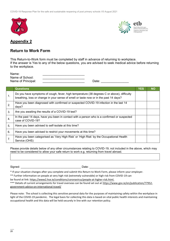



### **Appendix 2**

### **Return to Work Form**

This Return-to-Work form must be completed by staff in advance of returning to workplace. If the answer is Yes to any of the below questions, you are advised to seek medical advice before returning to the workplace.

| Name:              |  |
|--------------------|--|
| Name of School:    |  |
| Name of Principal: |  |

Name of Principal: \_\_\_\_\_\_\_\_\_\_\_\_\_\_\_\_\_\_\_\_\_\_\_\_ Date: \_\_\_\_\_\_\_\_\_\_\_\_\_\_\_\_

|                | <b>Questions</b>                                                                                                                                                                    | <b>YES</b> | <b>NO</b> |
|----------------|-------------------------------------------------------------------------------------------------------------------------------------------------------------------------------------|------------|-----------|
| 1.             | Do you have symptoms of cough, fever, high temperature (38 degrees C or above), difficulty<br>breathing, loss or change in your sense of smell or taste now or in the past 14 days? |            |           |
| 2.             | Have you been diagnosed with confirmed or suspected COVID-19 infection in the last 14<br>days?                                                                                      |            |           |
| 3.             | Are you awaiting the results of a COVID-19 test?                                                                                                                                    |            |           |
| 4.             | In the past 14 days, have you been in contact with a person who is a confirmed or suspected<br>case of COVID-19?                                                                    |            |           |
| 5.             | Have you been advised to self-isolate at this time?                                                                                                                                 |            |           |
| 6.             | Have you been advised to restrict your movements at this time?                                                                                                                      |            |           |
| 7 <sub>1</sub> | Have you been categorised as 'Very High Risk' or 'High Risk' by the Occupational Health<br>Service (OHS)                                                                            |            |           |

Please provide details below of any other circumstances relating to COVID-19, not included in the above, which may need to be considered to allow your safe return to work e.g. returning from travel abroad.

Signed: \_\_\_\_\_\_\_\_\_\_\_\_\_\_\_\_\_\_\_\_\_\_\_\_\_\_\_\_\_\_\_\_\_\_\_\_\_\_ Date: \_\_\_\_\_\_\_\_\_\_\_\_\_\_\_\_\_\_\_\_\_\_\_\_\_\_\_\_\_

\* If your situation changes after you complete and submit this Return to Work Form, please inform your employer.

\*\* Further information on people at very high risk (extremely vulnerable) or high risk from COVID-19 can

be found at link[: https://www2.hse.ie/conditions/coronavirus/people-at-higher-risk.html.](https://www2.hse.ie/conditions/covid19/people-at-higher-risk/overview/) 

\*\*\* Details of current arrangements for travel overseas can be found set out a[t https://www.gov.ie/en/publication/77952](https://www.gov.ie/en/publication/77952-government-advice-on-international-travel/) [government-advice-on-international-travel/](https://www.gov.ie/en/publication/77952-government-advice-on-international-travel/)

Please note: The school is collecting this sensitive personal data for the purposes of maintaining safety within the workplace in light of the COVID-19 pandemic. The legal basis for collecting this data is based on vital public health interests and maintaining occupational health and this data will be held securely in line with our retention policy.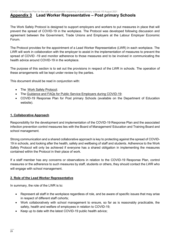#### **Appendix 3 Lead Worker Representative – Post primary Schools**

The Work Safely Protocol is designed to support employers and workers to put measures in place that will prevent the spread of COVID-19 in the workplace. The Protocol was developed following discussion and agreement between the Government, Trade Unions and Employers at the Labour Employer Economic Forum.

The Protocol provides for the appointment of a Lead Worker Representative (LWR) in each workplace. The LWR will work in collaboration with the employer to assist in the implementation of measures to prevent the spread of COVID -19 and monitor adherence to those measures and to be involved in communicating the health advice around COVID-19 in the workplace.

The purpose of this section is to set out the provisions in respect of the LWR in schools. The operation of these arrangements will be kept under review by the parties.

This document should be read in conjunction with:

- Th[e Work Safely Protocol;](https://www.gov.ie/en/publication/22829a-return-to-work-safely-protocol/)
- The [Guidance and FAQs for Public Service Employers during COVID-19;](https://www.gov.ie/en/news/092fff-update-on-working-arrangements-and-leave-associated-with-covid-19-fo/)
- COVID-19 Response Plan for Post primary Schools (available on the Department of Education website).

#### **1. Collaborative Approach**

Responsibility for the development and implementation of the COVID-19 Response Plan and the associated infection prevention control measures lies with the Board of Management/ Education and Training Board and school management.

Strong communication and a shared collaborative approach is key to protecting against the spread of COVID-19 in schools, and looking after the health, safety and wellbeing of staff and students. Adherence to the Work Safely Protocol will only be achieved if everyone has a shared obligation in implementing the measures contained within the Protocol in their place of work.

If a staff member has any concerns or observations in relation to the COVID-19 Response Plan, control measures or the adherence to such measures by staff, students or others, they should contact the LWR who will engage with school management.

#### **2. Role of the Lead Worker Representative**

In summary, the role of the LWR is to:

- Represent all staff in the workplace regardless of role, and be aware of specific issues that may arise in respect of different staff cohorts;
- Work collaboratively with school management to ensure, so far as is reasonably practicable, the safety, health and welfare of employees in relation to COVID-19;
- Keep up to date with the latest COVID-19 public health advice;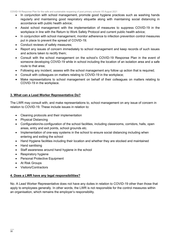- In conjunction with school management, promote good hygiene practices such as washing hands regularly and maintaining good respiratory etiquette along with maintaining social distancing in accordance with public health advice;
- Assist school management with the implementation of measures to suppress COVID-19 in the workplace in line with the Return to Work Safely Protocol and current public health advice;
- In conjunction with school management, monitor adherence to infection prevention control measures put in place to prevent the spread of COVID-19;
- Conduct reviews of safety measures;
- Report any issues of concern immediately to school management and keep records of such issues and actions taken to rectify them;
- Consult with the school management on the school's COVID-19 Response Plan in the event of someone developing COVID-19 while in school including the location of an isolation area and a safe route to that area;
- Following any incident, assess with the school management any follow up action that is required;
- Consult with colleagues on matters relating to COVID-19 in the workplace;
- Make representations to school management on behalf of their colleagues on matters relating to COVID-19 in the workplace.

#### **3. What can a Lead Worker Representative Do?**

The LWR may consult with, and make representations to, school management on any issue of concern in relation to COVID-19. These include issues in relation to:

- Cleaning protocols and their implementation
- Physical Distancing
- Configuration/re-configuration of the school facilities, including classrooms, corridors, halls, open areas, entry and exit points, school grounds etc.
- Implementation of one-way systems in the school to ensure social distancing including when entering and exiting the school
- Hand Hygiene facilities including their location and whether they are stocked and maintained
- Hand sanitising
- Staff awareness around hand hygiene in the school
- Respiratory hygiene
- Personal Protective Equipment
- At Risk Groups
- Visitors/Contractors

#### **4. Does a LWR have any legal responsibilities?**

No. A Lead Worker Representative does not have any duties in relation to COVID-19 other than those that apply to employees generally. In other words, the LWR is not responsible for the control measures within an organisation, which remains the employer's responsibility.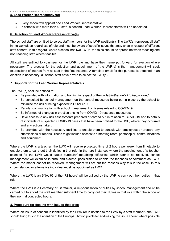#### **5. Lead Worker Representative(s)**

- Every school will appoint one Lead Worker Representative.
- In schools with more than 40 staff, a second Lead Worker Representative will be appointed.

#### **6. Selection of Lead Worker Representative(s)**

The school staff are entitled to select staff members for the LWR position(s). The LWR(s) represent all staff in the workplace regardless of role and must be aware of specific issues that may arise in respect of different staff cohorts. In this regard, where a school has two LWRs, the roles should be spread between teaching and non-teaching staff where feasible.

All staff are entitled to volunteer for the LWR role and have their name put forward for election where necessary. The process for the selection and appointment of the LWR(s) is that management will seek expressions of interest from all staff in the first instance. A template email for this purpose is attached. If an election is necessary, all school staff have a vote to select the LWR(s).

#### **7. Supports for the Lead Worker Representative/s**

The LWR(s) shall be entitled to:

- Be provided with information and training in respect of their role [*further detail to be provided*];
- Be consulted by school management on the control measures being put in place by the school to minimise the risk of being exposed to COVID-19;
- Regular communication with school management on issues related to COVID-19;
- Be informed of changes in practice arising from COVID-19 response measures;
- Have access to any risk assessments prepared or carried out in relation to COVID-19 and to details of incidents of suspected COVID-19 cases that have been notified to the HSE, where they occurred and any actions taken.
- Be provided with the necessary facilities to enable them to consult with employees or prepare any submissions or reports. These might include access to a meeting room, photocopier, communications and equipment.

Where the LWR is a teacher, the LWR will receive protected time of 2 hours per week from timetable to enable them to carry out their duties in that role. In the rare instances where the appointment of a teacher selected for the LWR would cause curricular/timetabling difficulties which cannot be resolved, school management will examine internal and external possibilities to enable the teacher's appointment as LWR. Where the matter cannot be resolved, management will set out the reasons why this is the case. In this circumstance, an alternative individual must be appointed as LWR.

Where the LWR is an SNA, 66 of the "72 hours" will be utilised by the LWR to carry out their duties in that role.

Where the LWR is a Secretary or Caretaker, a re-prioritisation of duties by school management should be carried out to afford the staff member sufficient time to carry out their duties in that role within the scope of their normal contracted hours.

#### **8. Procedure for dealing with issues that arise**

Where an issue of concern is identified by the LWR (or is notified to the LWR by a staff member), the LWR should bring this to the attention of the Principal. Action points for addressing the issue should where possible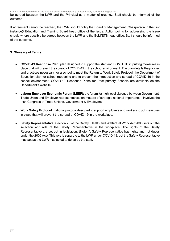be agreed between the LWR and the Principal as a matter of urgency. Staff should be informed of the outcome.

If agreement cannot be reached, the LWR should notify the Board of Management (Chairperson in the first instance)/ Education and Training Board head office of the issue. Action points for addressing the issue should where possible be agreed between the LWR and the BoM/ETB head office. Staff should be informed of the outcome.

#### **9. Glossary of Terms**

- **COVID-19 Response Plan:** plan designed to support the staff and BOM/ ETB in putting measures in place that will prevent the spread of COVID-19 in the school environment. The plan details the policies and practices necessary for a school to meet the Return to Work Safely Protocol, the Department of Education plan for school reopening and to prevent the introduction and spread of COVID-19 in the school environment. COVID-19 Response Plans for Post primary Schools are available on the Department's website.
- **Labour Employer Economic Forum (LEEF):** the forum for high level dialogue between Government, Trade Union and Employer representatives on matters of strategic national importance - involves the Irish Congress of Trade Unions, Government & Employers.
- **Work Safety Protocol:** national protocol designed to support employers and workers to put measures in place that will prevent the spread of COVID-19 in the workplace.
- **Safety Representative:** Section 25 of the Safety, Health and Welfare at Work Act 2005 sets out the selection and role of the Safety Representative in the workplace. The rights of the Safety Representative are set out in legislation. (Note: A Safety Representative has rights and not duties under the 2005 Act). This role is separate to the LWR under COVID-19, but the Safety Representative may act as the LWR if selected to do so by the staff.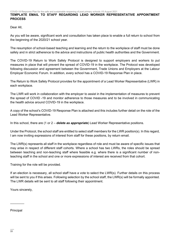#### **TEMPLATE EMAIL TO STAFF REGARDING LEAD WORKER REPRESENTATIVE APPOINTMENT PROCESS**

Dear All,

As you will be aware, significant work and consultation has taken place to enable a full return to school from the beginning of the 2020/21 school year.

The resumption of school-based teaching and learning and the return to the workplace of staff must be done safely and in strict adherence to the advice and instructions of public health authorities and the Government.

The COVID-19 Return to Work Safely Protocol is designed to support employers and workers to put measures in place that will prevent the spread of COVID-19 in the workplace. The Protocol was developed following discussion and agreement between the Government, Trade Unions and Employers at the Labour Employer Economic Forum. In addition, every school has a COVID-19 Response Plan in place.

The Return to Work Safely Protocol provides for the appointment of a Lead Worker Representative (LWR) in each workplace.

The LWR will work in collaboration with the employer to assist in the implementation of measures to prevent the spread of COVID -19 and monitor adherence to those measures and to be involved in communicating the health advice around COVID-19 in the workplace.

A copy of the school's COVID-19 Response Plan is attached and this includes further detail on the role of the Lead Worker Representative.

In this school, there are (1 or 2 – *delete as appropriate*) Lead Worker Representative positions.

Under the Protocol, the school staff are entitled to select staff members for the LWR position(s). In this regard, I am now inviting expressions of interest from staff for these positions, by return email.

The LWR(s) represents all staff in the workplace regardless of role and must be aware of specific issues that may arise in respect of different staff cohorts. Where a school has two LWRs, the roles should be spread between teaching and non-teaching staff where feasible e.g. where there is a significant number of nonteaching staff in the school and one or more expressions of interest are received from that cohort.

Training for the role will be provided.

If an election is necessary, all school staff have a vote to select the LWR(s). Further details on this process will be sent to you if this arises. Following selection by the school staff, the LWR(s) will be formally appointed. The LWR details will be sent to all staff following their appointment.

Yours sincerely,

Principal

 $\overline{\phantom{a}}$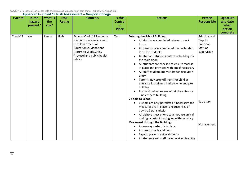| <b>Hazard</b> | Is the<br>hazard<br>present? | What is<br>the<br>risk? | <b>Risk</b><br><b>Rating</b> | <b>Controls</b>                                                                                                                                                            | Is this<br><b>Control</b><br>in<br><b>Place</b> | <b>Actions</b>                                                                                                                                                                                                                                                                                                                                                                                                                                                                                                                                                                                                                                                                                                                                                                                                                    | Person<br><b>Responsible</b>                                                  |
|---------------|------------------------------|-------------------------|------------------------------|----------------------------------------------------------------------------------------------------------------------------------------------------------------------------|-------------------------------------------------|-----------------------------------------------------------------------------------------------------------------------------------------------------------------------------------------------------------------------------------------------------------------------------------------------------------------------------------------------------------------------------------------------------------------------------------------------------------------------------------------------------------------------------------------------------------------------------------------------------------------------------------------------------------------------------------------------------------------------------------------------------------------------------------------------------------------------------------|-------------------------------------------------------------------------------|
| Covid-19      | Yes                          | Illness                 | High                         | Schools Covid 19 Response<br>Plan is in place in line with<br>the Department of<br>Education guidance and<br>Return to Work Safely<br>Protocol and public health<br>advice | Yes                                             | <b>Entering the School Building:</b><br>All staff have completed return to work<br>forms<br>All parents have completed the declaration<br>form for students<br>All staff and students enter the building via<br>the main door.<br>All students are checked to ensure mask is<br>in place and provided with one if necessary<br>All staff, student and visitors sanitise upon<br>entry<br>Parents may drop off items for child at<br>entrance in assigned baskets - no entry to<br>building<br>Post and deliveries are left at the entrance<br>- no entry to building<br><b>Visitors to School</b><br>Visitors are only permitted if necessary and<br>$\bullet$<br>measures are in place to reduce risks of<br>Covid-19 transmission<br>All visitors must phone to announce arrival<br>and sign contact tracing log with secretary | Principal and<br>Deputy<br>Principal,<br>Staff on<br>supervision<br>Secretary |
|               |                              |                         |                              |                                                                                                                                                                            |                                                 | Movement through the Building:<br>A ese usuau estesa ia in selecc                                                                                                                                                                                                                                                                                                                                                                                                                                                                                                                                                                                                                                                                                                                                                                 | Management                                                                    |

• A one-way system is in place • Arrows on walls and floor

• Tape in place to guide students

• All students and staff have received training

**Signature and date when action complete**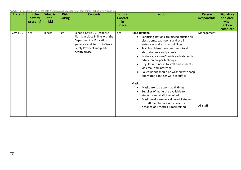| <b>Hazard</b> | Is the<br>hazard<br>present? | What is<br>the<br>risk? | <b>Risk</b><br><b>Rating</b> | <b>Controls</b>                                                                                                                                                         | Is this<br>Control<br>in<br><b>Place</b> | <b>Actions</b>                                                                                                                                                                                                                                                                                                                                                                                                                                                                                                                                                                                                                                                                                                       | <b>Person</b><br>Responsible | <b>Signature</b><br>and date<br>when<br>action<br>complete |
|---------------|------------------------------|-------------------------|------------------------------|-------------------------------------------------------------------------------------------------------------------------------------------------------------------------|------------------------------------------|----------------------------------------------------------------------------------------------------------------------------------------------------------------------------------------------------------------------------------------------------------------------------------------------------------------------------------------------------------------------------------------------------------------------------------------------------------------------------------------------------------------------------------------------------------------------------------------------------------------------------------------------------------------------------------------------------------------------|------------------------------|------------------------------------------------------------|
| Covid-19      | Yes                          | Illness                 | High                         | Schools Covid 19 Response<br>Plan is in place in line with the<br>Department of Education<br>guidance and Return to Work<br>Safely Protocol and public<br>health advice | Yes                                      | <b>Hand Hygiene</b><br>Sanitising stations are placed outside all<br>$\bullet$<br>classrooms, bathrooms and at all<br>entrances and exits to buildings<br>Training videos have been sent to all<br>staff, students and parents<br>Posters are above/beside each station to<br>advise on proper technique<br>Regular reminders to staff and students<br>via email and intercom<br>Soiled hands should be washed with soap<br>and water, sanitiser will not suffice<br><b>Masks</b><br>Masks are to be worn at all times<br>Supplies of masks are available to<br>students and staff if required<br>Mask breaks are only allowed if student<br>or staff member are outside and a<br>distance of 2 metres is maintained | Management<br>All staff      |                                                            |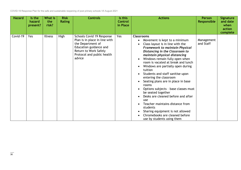| <b>Hazard</b> | Is the<br>hazard<br>present? | What is<br>the<br>risk? | <b>Risk</b><br><b>Rating</b> | <b>Controls</b>                                                                                                                                                            | Is this<br><b>Control</b><br>in Place | <b>Actions</b>                                                                                                                                                                                                                                                                                                                                                                                                                                                                                                                                                                                                                                                                                                                              | Person<br>Responsible   | <b>Signature</b><br>and date<br>when<br>action<br>complete |
|---------------|------------------------------|-------------------------|------------------------------|----------------------------------------------------------------------------------------------------------------------------------------------------------------------------|---------------------------------------|---------------------------------------------------------------------------------------------------------------------------------------------------------------------------------------------------------------------------------------------------------------------------------------------------------------------------------------------------------------------------------------------------------------------------------------------------------------------------------------------------------------------------------------------------------------------------------------------------------------------------------------------------------------------------------------------------------------------------------------------|-------------------------|------------------------------------------------------------|
| Covid-19      | Yes                          | <b>Illness</b>          | High                         | Schools Covid 19 Response<br>Plan is in place in line with<br>the Department of<br>Education guidance and<br>Return to Work Safely<br>Protocol and public health<br>advice | Yes                                   | <b>Classrooms</b><br>Movement is kept to a minimum<br>$\bullet$<br>Class layout is in line with the<br><b>Framework to maintain Physical</b><br>Distancing in the Classroom to<br>maintain physical distancing<br>Windows remain fully open when<br>room is vacated at break and lunch<br>Windows are partially open during<br>$\bullet$<br>tuition<br>Students and staff sanitise upon<br>entering the classroom<br>Seating plans are in place in base<br>$\bullet$<br>rooms<br>Options subjects - base classes must<br>be seated together<br>Desks are cleaned before and after<br>use<br>Teacher maintains distance from<br>students<br>Sharing equipment is not allowed<br>Chromebooks are cleaned before<br>use by students using them | Management<br>and Staff |                                                            |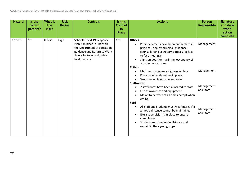| <b>Hazard</b> | Is the<br>hazard<br>present? | <b>What is</b><br>the<br>risk? | <b>Risk</b><br><b>Rating</b> | <b>Controls</b>                                                                                                                                                         | Is this<br><b>Control</b><br>in<br><b>Place</b> | <b>Actions</b>                                                                                                                                                                                                                                                                                                                                                                                                                                                                                                                                                                                                                                                                                                                                                                                    | <b>Person</b><br>Responsible                                                   | <b>Signature</b><br>and date<br>when<br>action |
|---------------|------------------------------|--------------------------------|------------------------------|-------------------------------------------------------------------------------------------------------------------------------------------------------------------------|-------------------------------------------------|---------------------------------------------------------------------------------------------------------------------------------------------------------------------------------------------------------------------------------------------------------------------------------------------------------------------------------------------------------------------------------------------------------------------------------------------------------------------------------------------------------------------------------------------------------------------------------------------------------------------------------------------------------------------------------------------------------------------------------------------------------------------------------------------------|--------------------------------------------------------------------------------|------------------------------------------------|
| Covid-19      | Yes                          | Illness                        | High                         | Schools Covid 19 Response<br>Plan is in place in line with<br>the Department of Education<br>guidance and Return to Work<br>Safely Protocol and public<br>health advice | Yes                                             | <b>Offices</b><br>Perspex screens have been put in place in<br>principal, deputy principal, guidance<br>counsellor and secretary's offices for face<br>to face meetings<br>Signs on door for maximum occupancy of<br>all other work rooms<br><b>Toilets</b><br>Maximum occupancy signage in place<br>٠<br>Posters on handwashing in place<br>Sanitising units outside entrance<br><b>Staffrooms</b><br>2 staffrooms have been allocated to staff<br>Use of own cups and equipment<br>Masks to be worn at all times except when<br>$\bullet$<br>eating<br>Yard<br>All staff and students must wear masks if a<br>$\bullet$<br>2 metre distance cannot be maintained<br>Extra supervision is in place to ensure<br>compliance<br>Students must maintain distance and<br>remain in their year groups | Management<br>Management<br>Management<br>and Staff<br>Management<br>and Staff | complete                                       |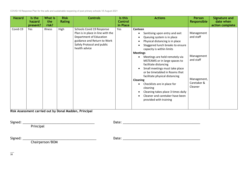| <b>Hazard</b><br>Is the<br>hazard<br>present? | What is<br>the<br>risk? | <b>Risk</b><br><b>Rating</b> | <b>Controls</b>                                                                                                                                                         | Is this<br><b>Control</b><br>in Place | <b>Actions</b>                                                                                                                                                                                                                                                                                                                                                                                                                                                                                                                                                                                             | Person<br>Responsible                                                                       | <b>Signature and</b><br>date when<br>action complete |
|-----------------------------------------------|-------------------------|------------------------------|-------------------------------------------------------------------------------------------------------------------------------------------------------------------------|---------------------------------------|------------------------------------------------------------------------------------------------------------------------------------------------------------------------------------------------------------------------------------------------------------------------------------------------------------------------------------------------------------------------------------------------------------------------------------------------------------------------------------------------------------------------------------------------------------------------------------------------------------|---------------------------------------------------------------------------------------------|------------------------------------------------------|
| Covid-19<br>Yes                               | Illness                 | High                         | Schools Covid 19 Response<br>Plan is in place in line with the<br>Department of Education<br>guidance and Return to Work<br>Safely Protocol and public<br>health advice | Yes                                   | Canteen<br>Sanitising upon entry and exit<br>Queuing system is in place<br>$\bullet$<br>Physical distancing is in place<br>٠<br>Staggered lunch breaks to ensure<br>capacity is within limits<br><b>Meetings</b><br>Meetings are held remotely via<br>٠<br>MSTEAMS or in large spaces to<br>facilitate distancing<br>Small meetings must take place<br>$\bullet$<br>or be timetabled in Rooms that<br>facilitate physical distancing<br><b>Cleaning</b><br>Checklists are in place for<br>cleaning<br>Cleaning takes place 3 times daily<br>٠<br>Cleaner and caretaker have been<br>provided with training | Management<br>and staff<br>Management<br>and staff<br>Management,<br>Caretaker &<br>Cleaner |                                                      |

**Risk Assessment carried out by Donal Madden, Principal** 

Signed: \_\_\_\_\_\_\_\_\_\_\_\_\_\_\_\_\_\_\_\_\_\_\_\_\_\_\_\_\_\_\_\_\_\_\_\_\_\_\_\_ Date: \_\_\_\_\_\_\_\_\_\_\_\_\_\_\_\_\_\_\_\_\_\_\_\_\_\_\_\_\_\_\_\_\_\_\_\_\_\_\_\_\_\_\_ **Principal** Signed: \_\_\_\_\_\_\_\_\_\_\_\_\_\_\_\_\_\_\_\_\_\_\_\_\_\_\_\_\_\_\_\_\_\_\_\_\_\_\_\_\_ Date: \_\_\_\_\_\_\_\_\_\_\_\_\_\_\_\_\_\_\_\_\_\_\_\_\_\_\_\_\_\_\_\_\_\_\_\_\_\_\_\_\_\_\_

Chairperson/BOM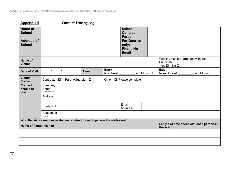### **Appendix 5 Contact Tracing Log**

| Name of<br><b>School</b>                |                                    |                                                                              |              | <b>School</b><br><b>Contact</b><br><b>Person</b> |                                                                         |
|-----------------------------------------|------------------------------------|------------------------------------------------------------------------------|--------------|--------------------------------------------------|-------------------------------------------------------------------------|
| <b>Address of</b><br><b>School</b>      |                                    |                                                                              |              | <b>For Queries</b><br>only:<br><b>Phone No</b>   |                                                                         |
|                                         |                                    |                                                                              |              | <b>Email</b>                                     |                                                                         |
| Name of<br><b>Visitor</b>               |                                    |                                                                              |              |                                                  | Was the visit pre-arranged with the<br>Principal?<br>$Yes \Box No \Box$ |
| <b>Date of Visit</b>                    | $\frac{1}{\sqrt{1-\frac{1}{2}}}$   | <b>Time</b>                                                                  | <b>Entry</b> | to school ___________ am □ pm □                  | <b>Exit</b><br>from School _____________ am □ pm □                      |
| <b>Visitor</b><br><b>Status</b>         | Contractor $\Box$                  | Parent/Guardian $\square$                                                    |              |                                                  | Other $\Box$ Please complete:                                           |
| <b>Contact</b><br>details of<br>visitor | Company<br>Name<br>(if applicable) |                                                                              |              |                                                  |                                                                         |
|                                         | Address                            |                                                                              |              |                                                  |                                                                         |
|                                         | Contact No.                        |                                                                              |              | Email<br>Address                                 |                                                                         |
|                                         | Reason for<br><b>Visit</b>         |                                                                              |              |                                                  |                                                                         |
|                                         |                                    | Who the visitor met (separate line required for each person the visitor met) |              |                                                  |                                                                         |
| <b>Name of Person visited</b>           |                                    |                                                                              |              |                                                  | Length of time spent with each person in<br>the school                  |
|                                         |                                    |                                                                              |              |                                                  |                                                                         |
|                                         |                                    |                                                                              |              |                                                  |                                                                         |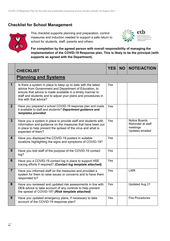### **Checklist for School Management**



This checklist supports planning and preparation, control measures and induction needed to support a safe return to school for students, staff, parents and others.



**For completion by the agreed person with overall responsibility of managing the implementation of the COVID-19 Response plan. This is likely to be the principal (with supports as agreed with the Department).** 

|                         | <b>CHECKLIST</b>                                                                                                                                                                                                                                                                 | <b>YES</b> | <b>NO</b> | <b>NOTE/ACTION</b>                                                       |
|-------------------------|----------------------------------------------------------------------------------------------------------------------------------------------------------------------------------------------------------------------------------------------------------------------------------|------------|-----------|--------------------------------------------------------------------------|
|                         | <b>Planning and Systems</b>                                                                                                                                                                                                                                                      |            |           |                                                                          |
| $\overline{\mathbf{1}}$ | Is there a system in place to keep up to date with the latest<br>advice from Government and Department of Education, to<br>ensure that advice is made available in a timely manner to<br>staff and students and to adjust your plans and procedures in<br>line with that advice? | Yes        |           |                                                                          |
| 2 <sup>1</sup>          | Have you prepared a school COVID-19 response plan and made<br>it available to staff and students? Department guidance and<br>templates provided                                                                                                                                  | Yes        |           |                                                                          |
| $\overline{3}$          | Have you a system in place to provide staff and students with<br>information and guidance on the measures that have been put<br>in place to help prevent the spread of the virus and what is<br>expected of them?                                                                | Yes        |           | <b>Notice Boards</b><br>Reminder at staff<br>meetings<br>Updates emailed |
| $\overline{\mathbf{4}}$ | Have you displayed the COVID-19 posters in suitable<br>locations highlighting the signs and symptoms of COVID-19?                                                                                                                                                                | Yes        |           |                                                                          |
| $5\phantom{1}$          | Have you told staff of the purpose of the COVID-19 contact<br>log?                                                                                                                                                                                                               | Yes        |           |                                                                          |
| $6\phantom{1}$          | Have you a COVID-19 contact log in place to support HSE<br>tracing efforts if required? (Contact log template attached).                                                                                                                                                         | Yes        |           |                                                                          |
| $\overline{7}$          | Have you informed staff on the measures and provided a<br>system for them to raise issues or concerns and to have them<br>responded to?                                                                                                                                          | Yes        |           | <b>LWR</b>                                                               |
| 8                       | Have you reviewed and updated risk assessments in line with<br>DES advice to take account of any controls to help prevent<br>the spread of COVID-19? (Risk template attached)                                                                                                    | Yes        |           | <b>Updated Aug 21</b>                                                    |
| 9                       | Have you updated emergency plans, if necessary to take<br>account of the COVID-19 response plan?                                                                                                                                                                                 | Yes        |           | <b>Fire Procedures</b>                                                   |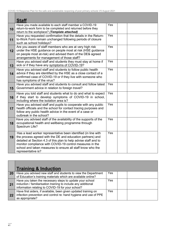|    | <b>Staff</b>                                                                                                                                                                                                                                                                                                                                     |            |  |  |
|----|--------------------------------------------------------------------------------------------------------------------------------------------------------------------------------------------------------------------------------------------------------------------------------------------------------------------------------------------------|------------|--|--|
| 10 | Have you made available to each staff member a COVID-19<br>return-to-work form to be completed and returned before they<br>return to the workplace? (Template attached)                                                                                                                                                                          | Yes        |  |  |
| 11 | Have you requested confirmation that the details in the Return-<br>to-Work Form remain unchanged following periods of closure<br>such as school holidays?                                                                                                                                                                                        | Yes        |  |  |
| 12 | Are you aware of staff members who are at very high risk<br>under the HSE guidance on people most at risk (HSE guidance<br>on people most at-risk) and advised them of the DES agreed<br>arrangements for management of those staff?                                                                                                             | Yes        |  |  |
| 13 | Have you advised staff and students they must stay at home if<br>sick or if they have any symptoms of COVID-19?                                                                                                                                                                                                                                  | Yes        |  |  |
| 14 | Have you advised staff and students to follow public health<br>advice if they are identified by the HSE as a close contact of a<br>confirmed case of COVID-19 or if they live with someone who<br>has symptoms of the virus?                                                                                                                     | Yes        |  |  |
| 15 | Have you advised staff and students to consult and follow latest<br>Government advice in relation to foreign travel?                                                                                                                                                                                                                             | Yes        |  |  |
| 16 | Have you told staff and students what to do and what to expect<br>if they start to develop symptoms of COVID-19 in school,<br>including where the isolation area is?                                                                                                                                                                             | <b>Yes</b> |  |  |
| 17 | Have you advised staff and pupils to cooperate with any public<br>health officials and the school for contact tracing purposes and<br>follow any public health advice in the event of a case or<br>outbreak in the school?                                                                                                                       | Yes        |  |  |
| 18 | Have you advised staff of the availability of the supports of the<br>occupational health and wellbeing programme through<br>Spectrum Life?                                                                                                                                                                                                       | Yes        |  |  |
| 19 | Has a lead worker representative been identified (in line with<br>the process agreed with the DE and education partners) and<br>detailed at Section 4.3 of this plan to help advise staff and to<br>monitor compliance with COVID-19 control measures in the<br>school and taken measures to ensure all staff know who the<br>representative is? | Yes        |  |  |

|           | <b>Training &amp; Induction</b>                                                                                                                                                 |            |  |
|-----------|---------------------------------------------------------------------------------------------------------------------------------------------------------------------------------|------------|--|
| <b>20</b> | Have you advised new staff and students to view the Department<br>of Education's training materials which are available online?                                                 | Yes        |  |
| 21        | Have you taken the necessary steps to update your school<br>induction / familiarisation training to include any additional<br>information relating to COVID-19 for your school? | <b>Yes</b> |  |
| -22       | Have first aiders, if available, been given updated training on<br>infection prevention and control re: hand hygiene and use of PPE<br>as appropriate?                          | Yes        |  |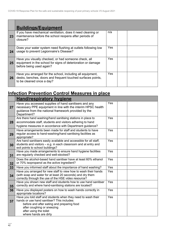|    | <b>Buildings/Equipment</b>                                                                                                                             |            |  |  |
|----|--------------------------------------------------------------------------------------------------------------------------------------------------------|------------|--|--|
| 23 | If you have mechanical ventilation, does it need cleaning or<br>maintenance before the school reopens after periods of<br>closure?                     | n/a        |  |  |
| 24 | Does your water system need flushing at outlets following low<br>usage to prevent Legionnaire's Disease?                                               | <b>Yes</b> |  |  |
| 25 | Have you visually checked, or had someone check, all<br>equipment in the school for signs of deterioration or damage<br>before being used again?       | <b>Yes</b> |  |  |
| 26 | Have you arranged for the school, including all equipment,<br>desks, benches, doors and frequent touched surfaces points,<br>to be cleaned once a day? | Yes.       |  |  |

## **Infection Prevention Control Measures in place**

|    | Hand/respiratory hygiene                                                                                                                                                                                                                    |                   |  |
|----|---------------------------------------------------------------------------------------------------------------------------------------------------------------------------------------------------------------------------------------------|-------------------|--|
| 27 | Have you accessed supplies of hand sanitisers and any<br>necessary PPE equipment in line with the interim HPSC health<br>guidance from the national framework provided by the<br>Department?                                                | Yes               |  |
| 28 | Are there hand washing/hand sanitising stations in place to<br>accommodate staff, students and visitors adhering to hand<br>hygiene measures in accordance with Department guidance?                                                        | Yes               |  |
| 29 | Have arrangements been made for staff and students to have<br>regular access to hand-washing/hand sanitising facilities as<br>appropriate?                                                                                                  | Yes               |  |
| 30 | Are hand sanitisers easily available and accessible for all staff,<br>students and visitors - e.g. in each classroom and at entry and<br>exit points to school buildings?                                                                   | Yes               |  |
| 31 | Have you made arrangements to ensure hand hygiene facilities<br>are regularly checked and well-stocked?                                                                                                                                     | Yes               |  |
| 32 | Does the alcohol-based hand sanitiser have at least 60% ethanol<br>or 70% isopropanol as the active ingredient?                                                                                                                             | Yes               |  |
| 33 | Have you informed staff about the importance of hand washing?                                                                                                                                                                               | Yes               |  |
| 34 | Have you arranged for new staff to view how to wash their hands<br>(with soap and water for at least 20 seconds) and dry them<br>correctly through the use of the HSE video resource?                                                       | Yes               |  |
| 35 | Have you shown new staff and students how to use hand sanitiser<br>correctly and where hand-sanitising stations are located?                                                                                                                | Yes               |  |
| 36 | Have you displayed posters on how to wash hands correctly in<br>appropriate locations?                                                                                                                                                      | Yes               |  |
| 37 | Have you told staff and students when they need to wash their<br>hands or use hand sanitiser? This includes:<br>before and after eating and preparing food<br>after coughing or sneezing<br>after using the toilet<br>where hands are dirty | $\overline{Y}$ es |  |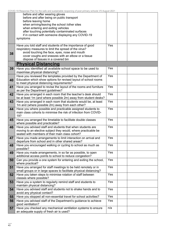|    | before and after wearing gloves                                    |     |  |  |
|----|--------------------------------------------------------------------|-----|--|--|
|    | before and after being on public transport                         |     |  |  |
|    | before leaving home                                                |     |  |  |
|    | when arriving/leaving the school /other sites                      |     |  |  |
|    | when entering and exiting vehicles                                 |     |  |  |
|    | after touching potentially contaminated surfaces                   |     |  |  |
|    | if in contact with someone displaying any COVID-19                 |     |  |  |
|    | symptoms                                                           |     |  |  |
|    |                                                                    |     |  |  |
|    |                                                                    |     |  |  |
|    | Have you told staff and students of the importance of good         | Yes |  |  |
|    | respiratory measures to limit the spread of the virus?             |     |  |  |
| 38 | avoid touching the face, eyes, nose and mouth                      |     |  |  |
|    | cover coughs and sneezes with an elbow or a tissue                 |     |  |  |
|    | dispose of tissues in a covered bin                                |     |  |  |
|    | <b>Physical Distancing</b>                                         |     |  |  |
| 39 | Have you identified all available school space to be used to       | Yes |  |  |
|    | maximise physical distancing?                                      |     |  |  |
|    | Have you reviewed the templates provided by the Department of      | Yes |  |  |
|    | Education which show options for revised layout of school rooms    |     |  |  |
| 40 | to meet physical distancing requirements?                          |     |  |  |
|    |                                                                    |     |  |  |
| 41 | Have you arranged to revise the layout of the rooms and furniture  | Yes |  |  |
|    | as per the Department guidelines?                                  |     |  |  |
| 42 | Have you arranged in each room that the teacher's desk should      | Yes |  |  |
|    | be at least 1m (and where possible 2m) away from student desks?    |     |  |  |
| 43 | Have you arranged in each room that students would be, at least    | Yes |  |  |
|    | 1m and (where possible 2m) away from each other?                   |     |  |  |
| 44 | Have you where possible and practicable assigned students to       | Yes |  |  |
|    | main class cohorts to minimise the risk of infection from COVID-   |     |  |  |
|    | 19?                                                                |     |  |  |
| 45 | Have you arranged the timetable to facilitate double classes       | Yes |  |  |
|    | where possible and practicable?                                    |     |  |  |
|    |                                                                    | Yes |  |  |
| 46 | Have you advised staff and students that when students are         |     |  |  |
|    | moving to an elective subject they would, where practicable be     |     |  |  |
|    | seated with members of their main class cohort?                    |     |  |  |
| 47 | Have you made arrangements to limit interaction on arrival and     | Yes |  |  |
|    | departure from school and in other shared areas?                   |     |  |  |
| 48 | Have you encouraged walking or cycling to school as much as        | Yes |  |  |
|    | possible?                                                          |     |  |  |
| 49 | Have you made arrangements, in so far as possible, to open         | Yes |  |  |
|    | additional access points to school to reduce congestion?           |     |  |  |
| 50 | Can you provide a one system for entering and exiting the school,  | Yes |  |  |
|    | where practical?                                                   |     |  |  |
| 51 | Have you arranged for staff meetings to be held remotely or in     | Yes |  |  |
|    | small groups or in large spaces to facilitate physical distancing? |     |  |  |
|    |                                                                    |     |  |  |
| 52 | Have you taken steps to minimise rotation of staff between         | Yes |  |  |
|    | classes where possible?                                            |     |  |  |
| 53 | Have you a system to regularly remind staff and students to        | Yes |  |  |
|    | maintain physical distancing?                                      |     |  |  |
| 54 | Have you advised staff and students not to shake hands and to      | Yes |  |  |
|    | avoid any physical contact?                                        |     |  |  |
| 55 | Have you stopped all non-essential travel for school activities?   | Yes |  |  |
|    |                                                                    | Yes |  |  |
| 56 | Have you advised staff of the Department's guidance to achieve     |     |  |  |
|    | good ventilation?                                                  |     |  |  |
| 57 | Have you checked any mechanical ventilation systems to ensure      | n/a |  |  |
|    | an adequate supply of fresh air is used?                           |     |  |  |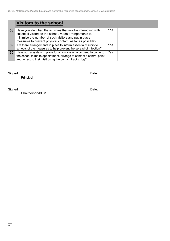|    | <b>Visitors to the school</b>                                                                                                                                                                                                                    |     |  |  |
|----|--------------------------------------------------------------------------------------------------------------------------------------------------------------------------------------------------------------------------------------------------|-----|--|--|
| 58 | Have you identified the activities that involve interacting with<br>essential visitors to the school, made arrangements to<br>minimise the number of such visitors and put in place<br>measures to prevent physical contact, as far as possible? | Yes |  |  |
| 59 | Are there arrangements in place to inform essential visitors to<br>schools of the measures to help prevent the spread of infection?                                                                                                              | Yes |  |  |
| 60 | Have you a system in place for all visitors who do need to come to<br>the school to make appointment, arrange to contact a central point<br>and to record their visit using the contact tracing log?                                             | Yes |  |  |

Principal

Signed: \_\_\_\_\_\_\_\_\_\_\_\_\_\_\_\_\_\_\_\_\_\_\_\_ Date: \_\_\_\_\_\_\_\_\_\_\_\_\_\_\_\_\_\_\_\_\_

Chairperson/BOM

Signed: \_\_\_\_\_\_\_\_\_\_\_\_\_\_\_\_\_\_\_\_\_\_\_\_ Date: \_\_\_\_\_\_\_\_\_\_\_\_\_\_\_\_\_\_\_\_\_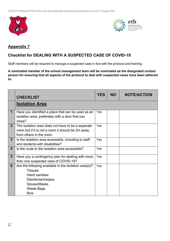



### **Appendix 7**

### **Checklist for DEALING WITH A SUSPECTED CASE OF COVID-19**

Staff members will be required to manage a suspected case in line with the protocol and training.

**A nominated member of the school management team will be nominated as the designated contact person for ensuring that all aspects of the protocol to deal with suspected cases have been adhered to.** 

|                 | <b>CHECKLIST</b>                                                                                                                                                           | <b>YES</b> | <b>NO</b> | <b>NOTE/ACTION</b> |
|-----------------|----------------------------------------------------------------------------------------------------------------------------------------------------------------------------|------------|-----------|--------------------|
|                 | <b>Isolation Area</b>                                                                                                                                                      |            |           |                    |
| 1               | Have you identified a place that can be used as an<br>isolation area, preferably with a door that can<br>close?                                                            | Yes        |           |                    |
| 2 <sup>1</sup>  | The isolation area does not have to be a separate<br>room but if it is not a room it should be 2m away<br>from others in the room.                                         | Yes        |           |                    |
| $3\phantom{.0}$ | Is the isolation area accessible, including to staff<br>and students with disabilities?                                                                                    | Yes        |           |                    |
| 4               | Is the route to the isolation area accessible?                                                                                                                             | Yes        |           |                    |
| $5\phantom{1}$  | Have you a contingency plan for dealing with more<br>than one suspected case of COVID-19?                                                                                  | Yes        |           |                    |
| 6               | Are the following available in the isolation area(s)?<br><b>Tissues</b><br><b>Hand sanitiser</b><br>Disinfectant/wipes<br>Gloves/Masks<br><b>Waste Bags</b><br><b>Bins</b> | Yes        |           |                    |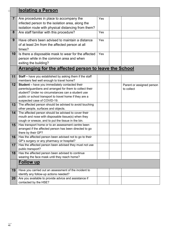| C(             | <u>Isolating a Person</u>                                                                                                                                                                                                                                 |     |                                         |
|----------------|-----------------------------------------------------------------------------------------------------------------------------------------------------------------------------------------------------------------------------------------------------------|-----|-----------------------------------------|
| $\overline{7}$ | Are procedures in place to accompany the<br>infected person to the isolation area, along the<br>isolation route with physical distancing from them?                                                                                                       | Yes |                                         |
| 8              | Are staff familiar with this procedure?                                                                                                                                                                                                                   | Yes |                                         |
| 9              | Have others been advised to maintain a distance<br>of at least 2m from the affected person at all<br>times?                                                                                                                                               | Yes |                                         |
| 10             | Is there a disposable mask to wear for the affected<br>person while in the common area and when<br>exiting the building?                                                                                                                                  | Yes |                                         |
|                | <b>Arranging for the affected person to leave the School</b>                                                                                                                                                                                              |     |                                         |
| 11             | <b>Staff - have you established by asking them if the staff</b><br>members feel well enough to travel home?                                                                                                                                               |     |                                         |
| 12             | Student - have you immediately contacted their<br>parents/guardians and arranged for them to collect their<br>student? Under no circumstances can a student use<br>public or school transport to travel home if they are a<br>suspected case of COVID-19. |     | Parent or assigned person<br>to collect |
| 13             | The affected person should be advised to avoid touching<br>other people, surfaces and objects.                                                                                                                                                            |     |                                         |
| 14             | The affected person should be advised to cover their<br>mouth and nose with disposable tissue(s) when they<br>cough or sneeze, and to put the tissue in the bin.                                                                                          |     |                                         |
| 15             | Has transport home or to an assessment centre been<br>arranged if the affected person has been directed to go<br>there by their GP?                                                                                                                       |     |                                         |
| 16             | Has the affected person been advised not to go to their<br>GP's surgery or any pharmacy or hospital?                                                                                                                                                      |     |                                         |
| 17             | Has the affected person been advised they must not use<br>public transport?                                                                                                                                                                               |     |                                         |
| 18             | Has the affected person been advised to continue<br>wearing the face mask until they reach home?                                                                                                                                                          |     |                                         |
|                | <b>Follow up</b>                                                                                                                                                                                                                                          |     |                                         |
| 19             | Have you carried out an assessment of the incident to<br>identify any follow-up actions needed?                                                                                                                                                           |     |                                         |
| 20             | Are you available to provide advice and assistance if<br>contacted by the HSE?                                                                                                                                                                            |     |                                         |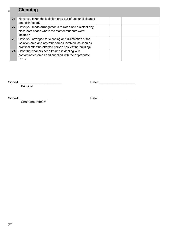|    | <b>Cleaning</b>                                                                                                                                                                 |  |  |
|----|---------------------------------------------------------------------------------------------------------------------------------------------------------------------------------|--|--|
| 21 | Have you taken the isolation area out-of-use until cleaned<br>and disinfected?                                                                                                  |  |  |
| 22 | Have you made arrangements to clean and disinfect any<br>classroom space where the staff or students were<br>located?                                                           |  |  |
| 23 | Have you arranged for cleaning and disinfection of the<br>isolation area and any other areas involved, as soon as<br>practical after the affected person has left the building? |  |  |
| 24 | Have the cleaners been trained in dealing with<br>contaminated areas and supplied with the appropriate<br>PPE?                                                                  |  |  |

Principal

Signed: \_\_\_\_\_\_\_\_\_\_\_\_\_\_\_\_\_\_\_\_\_\_\_\_ Date: \_\_\_\_\_\_\_\_\_\_\_\_\_\_\_\_\_\_\_\_\_

Chairperson/BOM

Signed: \_\_\_\_\_\_\_\_\_\_\_\_\_\_\_\_\_\_\_\_\_\_\_\_ Date: \_\_\_\_\_\_\_\_\_\_\_\_\_\_\_\_\_\_\_\_\_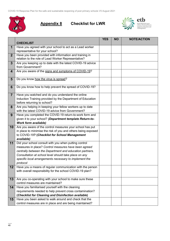

**Appendix 8 Checklist for LWR** 



|                 |                                                                                                                | <b>YES</b> | <b>NO</b> | <b>NOTE/ACTION</b> |
|-----------------|----------------------------------------------------------------------------------------------------------------|------------|-----------|--------------------|
|                 | <b>CHECKLIST</b>                                                                                               |            |           |                    |
| $\mathbf 1$     | Have you agreed with your school to act as a Lead worker                                                       |            |           |                    |
|                 | representative for your school?                                                                                |            |           |                    |
| 2 <sup>1</sup>  | Have you been provided with information and training in<br>relation to the role of Lead Worker Representative? |            |           |                    |
| 3               | Are you keeping up to date with the latest COVID-19 advice                                                     |            |           |                    |
|                 | from Government?                                                                                               |            |           |                    |
| 4               | Are you aware of the signs and symptoms of COVID-19?                                                           |            |           |                    |
| $5\phantom{.0}$ | Do you know how the virus is spread?                                                                           |            |           |                    |
| 6               | Do you know how to help prevent the spread of COVID-19?                                                        |            |           |                    |
| $\overline{7}$  | Have you watched and do you understand the online                                                              |            |           |                    |
|                 | Induction Training provided by the Department of Education                                                     |            |           |                    |
|                 | before returning to school?                                                                                    |            |           |                    |
| 8               | Are you helping in keeping your fellow workers up to date<br>with the latest COVID-19 advice from Government?  |            |           |                    |
| 9               | Have you completed the COVID-19 return-to-work form and                                                        |            |           |                    |
|                 | given it to your school? (Department template Return-to-                                                       |            |           |                    |
|                 | <b>Work form available)</b>                                                                                    |            |           |                    |
| 10              | Are you aware of the control measures your school has put                                                      |            |           |                    |
|                 | in place to minimise the risk of you and others being exposed                                                  |            |           |                    |
|                 | to COVID-19? (Checklist for School Management                                                                  |            |           |                    |
|                 | available)                                                                                                     |            |           |                    |
| 11              | Did your school consult with you when putting control                                                          |            |           |                    |
|                 | measures in place? Control measures have been agreed                                                           |            |           |                    |
|                 | centrally between the Department and education partners.                                                       |            |           |                    |
|                 | Consultation at school level should take place on any                                                          |            |           |                    |
|                 | specific local arrangements necessary to implement the                                                         |            |           |                    |
|                 | protocol                                                                                                       |            |           |                    |
| 12              | Have you a means of regular communication with the person                                                      |            |           |                    |
|                 | with overall responsibility for the school COVID-19 plan?                                                      |            |           |                    |
|                 |                                                                                                                |            |           |                    |
| 13              | Are you co-operating with your school to make sure these                                                       |            |           |                    |
|                 | control measures are maintained?                                                                               |            |           |                    |
| 14              | Have you familiarised yourself with the cleaning                                                               |            |           |                    |
|                 | requirements needed to help prevent cross contamination?                                                       |            |           |                    |
|                 | (Checklist for Cleaning and Disinfection available)                                                            |            |           |                    |
| 15              | Have you been asked to walk around and check that the                                                          |            |           |                    |
|                 | control measures are in place and are being maintained?                                                        |            |           |                    |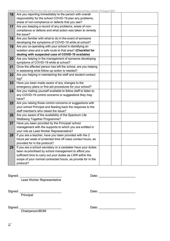—— 49

COVID-19 Response Plan for the safe and sustainable reopening of post primary schools V5 August 2021

| Are you reporting immediately to the person with overall       |  |  |
|----------------------------------------------------------------|--|--|
| responsibility for the school COVID-19 plan any problems,      |  |  |
| areas of non-compliance or defects that you see?               |  |  |
| Are you keeping a record of any problems, areas of non-        |  |  |
| compliance or defects and what action was taken to remedy      |  |  |
| the issue?                                                     |  |  |
| Are you familiar with what to do in the event of someone       |  |  |
| developing the symptoms of COVID-19 while at school?           |  |  |
| Are you co-operating with your school in identifying an        |  |  |
| isolation area and a safe route to that area? (Checklist for   |  |  |
| dealing with suspected case of COVID-19 available)             |  |  |
| Are you helping in the management of someone developing        |  |  |
| symptoms of COVID-19 while at school?                          |  |  |
| Once the affected person has left the school, are you helping  |  |  |
| in assessing what follow-up action is needed?                  |  |  |
| Are you helping in maintaining the staff and student contact   |  |  |
| log?                                                           |  |  |
| Have you been made aware of any changes to the                 |  |  |
| emergency plans or first aid procedures for your school?       |  |  |
| Are you making yourself available to fellow staff to listen to |  |  |
| any COVID-19 control concerns or suggestions they may          |  |  |
| have?                                                          |  |  |
| Are you raising those control concerns or suggestions with     |  |  |
| your school Principal and feeding back the response to the     |  |  |
| staff member/s who raised the issue?                           |  |  |
| Are you aware of the availability of the Spectrum Life         |  |  |
| <b>Wellbeing Together Programme?</b>                           |  |  |
| Have you been provided by the Principal/ school                |  |  |
| management with the supports to which you are entitled in      |  |  |
| your role as Lead Worker Representative?                       |  |  |
| If you are a teacher, have you been provided with the 2        |  |  |
| hours per week of protected time off class contact hours, as   |  |  |
| provided for in the protocol?                                  |  |  |
| If you are a school secretary or a caretaker have your duties  |  |  |
| been re-prioritised by school management to afford you         |  |  |
| sufficient time to carry out your duties as LWR within the     |  |  |
| scope of your normal contracted hours, as provide for in the   |  |  |
| protocol?                                                      |  |  |
|                                                                |  |  |

**Lead Worker Representative** 

Signed: \_\_\_\_\_\_\_\_\_\_\_\_\_\_\_\_\_\_\_\_\_\_\_\_ Date: \_\_\_\_\_\_\_\_\_\_\_\_\_\_\_\_\_\_\_\_\_

Signed: Principal

Chairperson/BOM

Signed: \_\_\_\_\_\_\_\_\_\_\_\_\_\_\_\_\_\_\_\_\_\_\_\_ Date: \_\_\_\_\_\_\_\_\_\_\_\_\_\_\_\_\_\_\_\_\_

Signed: \_\_\_\_\_\_\_\_\_\_\_\_\_\_\_\_\_\_\_\_\_\_\_\_ Date: \_\_\_\_\_\_\_\_\_\_\_\_\_\_\_\_\_\_\_\_\_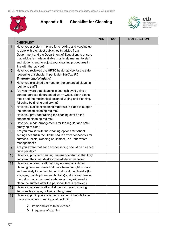

**Appendix 9 Checklist for Cleaning** 



|                 |                                                            | <b>YES</b> | <b>NO</b> | <b>NOTE/ACTION</b> |
|-----------------|------------------------------------------------------------|------------|-----------|--------------------|
|                 | <b>CHECKLIST</b>                                           |            |           |                    |
| $\mathbf 1$     | Have you a system in place for checking and keeping up     |            |           |                    |
|                 | to date with the latest public health advice from          |            |           |                    |
|                 | Government and the Department of Education, to ensure      |            |           |                    |
|                 | that advice is made available in a timely manner to staff  |            |           |                    |
|                 | and students and to adjust your cleaning procedures in     |            |           |                    |
|                 | line with that advice?                                     |            |           |                    |
| 2 <sup>1</sup>  | Have you reviewed the HPSC health advice for the safe      |            |           |                    |
|                 | reopening of schools, in particular Section 5.6            |            |           |                    |
|                 | <b>Environmental Hygiene?</b>                              |            |           |                    |
| $\overline{3}$  | Have you explained the need for the enhanced cleaning      |            |           |                    |
|                 | regime to staff?                                           |            |           |                    |
| 4               | Are you aware that cleaning is best achieved using a       |            |           |                    |
|                 | general purpose detergent ad warm water, clean cloths,     |            |           |                    |
|                 | mops and the mechanical action of wiping and cleaning,     |            |           |                    |
|                 | following by rinsing and drying?                           |            |           |                    |
| $5\phantom{1}$  | Have you sufficient cleaning materials in place to support |            |           |                    |
|                 | the enhanced cleaning regime?                              |            |           |                    |
| 6               | Have you provided training for cleaning staff on the       |            |           |                    |
|                 | enhanced cleaning regime?                                  |            |           |                    |
| $\overline{7}$  | Have you made arrangements for the regular and safe        |            |           |                    |
|                 | emptying of bins?                                          |            |           |                    |
| 8               | Are you familiar with the cleaning options for school      |            |           |                    |
|                 | settings set out in the HPSC health advice for schools for |            |           |                    |
|                 | surfaces, toilets, cleaning equipment, PPE and waste       |            |           |                    |
|                 | management?                                                |            |           |                    |
| 9               | Are you aware that each school setting should be cleaned   |            |           |                    |
|                 | once per day?                                              |            |           |                    |
| 10              | Have you provided cleaning materials to staff so that they |            |           |                    |
|                 | can clean their own desk or immediate workspace?           |            |           |                    |
| 11              | Have you advised staff that they are responsible for       |            |           |                    |
|                 | cleaning personal items that have been brought to work     |            |           |                    |
|                 | and are likely to be handled at work or during breaks (for |            |           |                    |
|                 | example, mobile phone and laptops) and to avoid leaving    |            |           |                    |
|                 | them down on communal surfaces or they will need to        |            |           |                    |
|                 | clean the surface after the personal item is removed?      |            |           |                    |
| 12 <sub>2</sub> | Have you advised staff and students to avoid sharing       |            |           |                    |
|                 | items such as cups, bottles, cutlery, pens                 |            |           |                    |
| 13              | Have you put in place a written cleaning schedule to be    |            |           |                    |
|                 | made available to cleaning staff including:                |            |           |                    |
|                 | Items and areas to be cleaned<br>⋗                         |            |           |                    |
|                 |                                                            |            |           |                    |
|                 | Frequency of cleaning<br>➤                                 |            |           |                    |